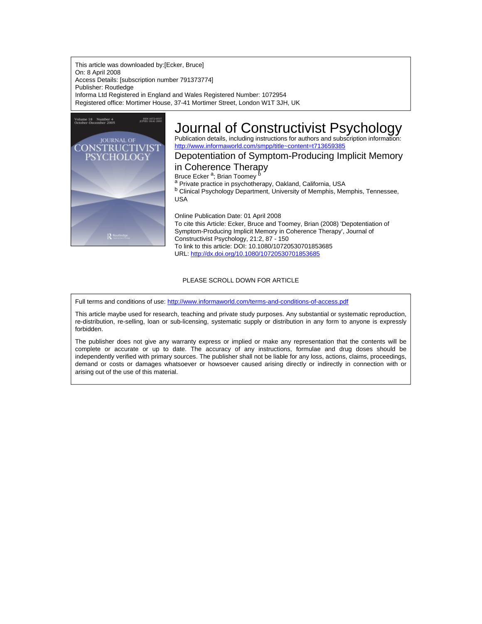This article was downloaded by:[Ecker, Bruce] On: 8 April 2008 Access Details: [subscription number 791373774] Publisher: Routledge Informa Ltd Registered in England and Wales Registered Number: 1072954 Registered office: Mortimer House, 37-41 Mortimer Street, London W1T 3JH, UK



# Journal of Constructivist Psychology

Publication details, including instructions for authors and subscription information: <http://www.informaworld.com/smpp/title~content=t713659385>

Depotentiation of Symptom-Producing Implicit Memory

in Coherence Therapy

Bruce Ecker <sup>a</sup>; Brian Toomey <sup>ɓ</sup> a Private practice in psychotherapy, Oakland, California, USA b Clinical Psychology Department, University of Memphis, Memphis, Tennessee, USA

Online Publication Date: 01 April 2008 To cite this Article: Ecker, Bruce and Toomey, Brian (2008) 'Depotentiation of Symptom-Producing Implicit Memory in Coherence Therapy', Journal of Constructivist Psychology, 21:2, 87 - 150 To link to this article: DOI: 10.1080/10720530701853685 URL: <http://dx.doi.org/10.1080/10720530701853685>

## PLEASE SCROLL DOWN FOR ARTICLE

Full terms and conditions of use: <http://www.informaworld.com/terms-and-conditions-of-access.pdf>

This article maybe used for research, teaching and private study purposes. Any substantial or systematic reproduction, re-distribution, re-selling, loan or sub-licensing, systematic supply or distribution in any form to anyone is expressly forbidden.

The publisher does not give any warranty express or implied or make any representation that the contents will be complete or accurate or up to date. The accuracy of any instructions, formulae and drug doses should be independently verified with primary sources. The publisher shall not be liable for any loss, actions, claims, proceedings, demand or costs or damages whatsoever or howsoever caused arising directly or indirectly in connection with or arising out of the use of this material.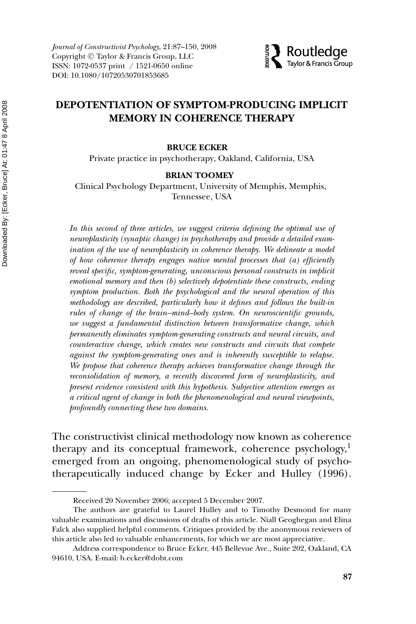

# **DEPOTENTIATION OF SYMPTOM-PRODUCING IMPLICIT MEMORY IN COHERENCE THERAPY**

#### **BRUCE ECKER**

Private practice in psychotherapy, Oakland, California, USA

#### **BRIAN TOOMEY**

Clinical Psychology Department, University of Memphis, Memphis, Tennessee, USA

*In this second of three articles, we suggest criteria defining the optimal use of neuroplasticity (synaptic change) in psychotherapy and provide a detailed examination of the use of neuroplasticity in coherence therapy. We delineate a model of how coherence therapy engages native mental processes that (a) efficiently reveal specific, symptom-generating, unconscious personal constructs in implicit emotional memory and then (b) selectively depotentiate these constructs, ending symptom production. Both the psychological and the neural operation of this methodology are described, particularly how it defines and follows the built-in rules of change of the brain–mind–body system. On neuroscientific grounds, we suggest a fundamental distinction between transformative change, which permanently eliminates symptom-generating constructs and neural circuits, and counteractive change, which creates new constructs and circuits that compete against the symptom-generating ones and is inherently susceptible to relapse. We propose that coherence therapy achieves transformative change through the reconsolidation of memory, a recently discovered form of neuroplasticity, and present evidence consistent with this hypothesis. Subjective attention emerges as a critical agent of change in both the phenomenological and neural viewpoints, profoundly connecting these two domains.*

The constructivist clinical methodology now known as coherence therapy and its conceptual framework, coherence psychology,<sup>1</sup> emerged from an ongoing, phenomenological study of psychotherapeutically induced change by Ecker and Hulley (1996).

Received 20 November 2006; accepted 5 December 2007.

The authors are grateful to Laurel Hulley and to Timothy Desmond for many valuable examinations and discussions of drafts of this article. Niall Geoghegan and Elina Falck also supplied helpful comments. Critiques provided by the anonymous reviewers of this article also led to valuable enhancements, for which we are most appreciative.

Address correspondence to Bruce Ecker, 445 Bellevue Ave., Suite 202, Oakland, CA 94610, USA. E-mail: b.ecker@dobt.com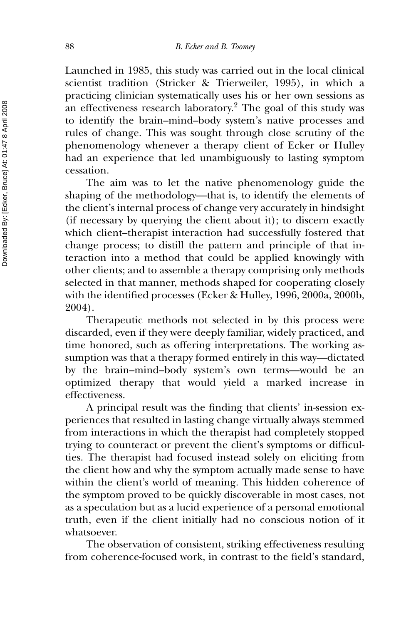Launched in 1985, this study was carried out in the local clinical scientist tradition (Stricker & Trierweiler, 1995), in which a practicing clinician systematically uses his or her own sessions as an effectiveness research laboratory.<sup>2</sup> The goal of this study was to identify the brain–mind–body system's native processes and rules of change. This was sought through close scrutiny of the phenomenology whenever a therapy client of Ecker or Hulley had an experience that led unambiguously to lasting symptom cessation.

The aim was to let the native phenomenology guide the shaping of the methodology—that is, to identify the elements of the client's internal process of change very accurately in hindsight (if necessary by querying the client about it); to discern exactly which client–therapist interaction had successfully fostered that change process; to distill the pattern and principle of that interaction into a method that could be applied knowingly with other clients; and to assemble a therapy comprising only methods selected in that manner, methods shaped for cooperating closely with the identified processes (Ecker & Hulley, 1996, 2000a, 2000b, 2004).

Therapeutic methods not selected in by this process were discarded, even if they were deeply familiar, widely practiced, and time honored, such as offering interpretations. The working assumption was that a therapy formed entirely in this way—dictated by the brain–mind–body system's own terms—would be an optimized therapy that would yield a marked increase in effectiveness.

A principal result was the finding that clients' in-session experiences that resulted in lasting change virtually always stemmed from interactions in which the therapist had completely stopped trying to counteract or prevent the client's symptoms or difficulties. The therapist had focused instead solely on eliciting from the client how and why the symptom actually made sense to have within the client's world of meaning. This hidden coherence of the symptom proved to be quickly discoverable in most cases, not as a speculation but as a lucid experience of a personal emotional truth, even if the client initially had no conscious notion of it whatsoever.

The observation of consistent, striking effectiveness resulting from coherence-focused work, in contrast to the field's standard,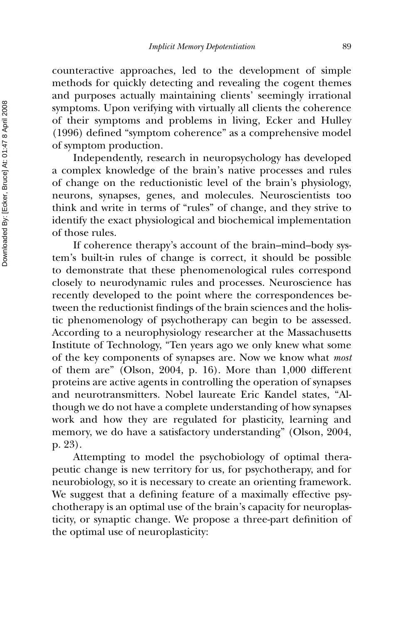counteractive approaches, led to the development of simple methods for quickly detecting and revealing the cogent themes and purposes actually maintaining clients' seemingly irrational symptoms. Upon verifying with virtually all clients the coherence of their symptoms and problems in living, Ecker and Hulley (1996) defined "symptom coherence" as a comprehensive model of symptom production.

Independently, research in neuropsychology has developed a complex knowledge of the brain's native processes and rules of change on the reductionistic level of the brain's physiology, neurons, synapses, genes, and molecules. Neuroscientists too think and write in terms of "rules" of change, and they strive to identify the exact physiological and biochemical implementation of those rules.

If coherence therapy's account of the brain–mind–body system's built-in rules of change is correct, it should be possible to demonstrate that these phenomenological rules correspond closely to neurodynamic rules and processes. Neuroscience has recently developed to the point where the correspondences between the reductionist findings of the brain sciences and the holistic phenomenology of psychotherapy can begin to be assessed. According to a neurophysiology researcher at the Massachusetts Institute of Technology, "Ten years ago we only knew what some of the key components of synapses are. Now we know what *most* of them are" (Olson, 2004, p. 16). More than 1,000 different proteins are active agents in controlling the operation of synapses and neurotransmitters. Nobel laureate Eric Kandel states, "Although we do not have a complete understanding of how synapses work and how they are regulated for plasticity, learning and memory, we do have a satisfactory understanding" (Olson, 2004, p. 23).

Attempting to model the psychobiology of optimal therapeutic change is new territory for us, for psychotherapy, and for neurobiology, so it is necessary to create an orienting framework. We suggest that a defining feature of a maximally effective psychotherapy is an optimal use of the brain's capacity for neuroplasticity, or synaptic change. We propose a three-part definition of the optimal use of neuroplasticity: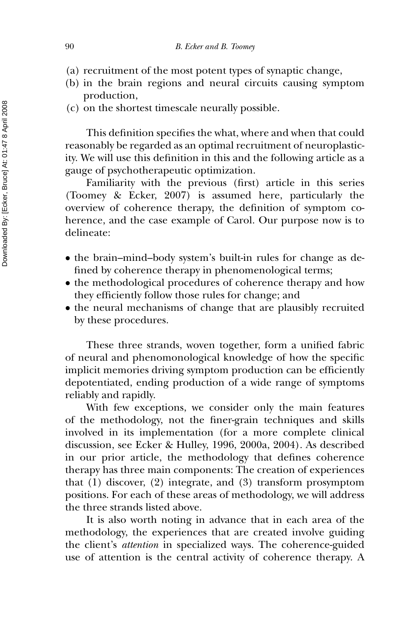- (a) recruitment of the most potent types of synaptic change,
- (b) in the brain regions and neural circuits causing symptom production,
- (c) on the shortest timescale neurally possible.

This definition specifies the what, where and when that could reasonably be regarded as an optimal recruitment of neuroplasticity. We will use this definition in this and the following article as a gauge of psychotherapeutic optimization.

Familiarity with the previous (first) article in this series (Toomey & Ecker, 2007) is assumed here, particularly the overview of coherence therapy, the definition of symptom coherence, and the case example of Carol. Our purpose now is to delineate:

- the brain–mind–body system's built-in rules for change as defined by coherence therapy in phenomenological terms;
- the methodological procedures of coherence therapy and how they efficiently follow those rules for change; and
- the neural mechanisms of change that are plausibly recruited by these procedures.

These three strands, woven together, form a unified fabric of neural and phenomonological knowledge of how the specific implicit memories driving symptom production can be efficiently depotentiated, ending production of a wide range of symptoms reliably and rapidly.

With few exceptions, we consider only the main features of the methodology, not the finer-grain techniques and skills involved in its implementation (for a more complete clinical discussion, see Ecker & Hulley, 1996, 2000a, 2004). As described in our prior article, the methodology that defines coherence therapy has three main components: The creation of experiences that (1) discover, (2) integrate, and (3) transform prosymptom positions. For each of these areas of methodology, we will address the three strands listed above.

It is also worth noting in advance that in each area of the methodology, the experiences that are created involve guiding the client's *attention* in specialized ways. The coherence-guided use of attention is the central activity of coherence therapy. A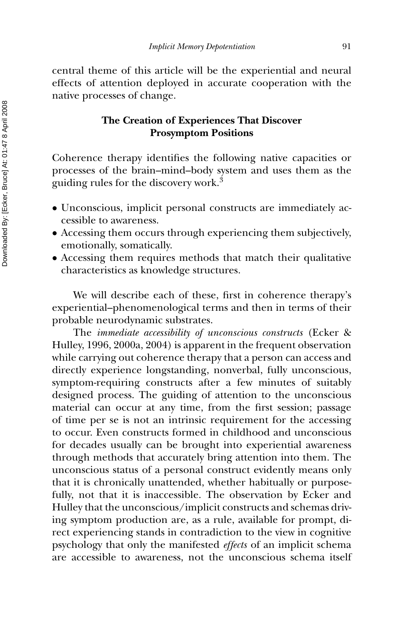central theme of this article will be the experiential and neural effects of attention deployed in accurate cooperation with the native processes of change.

# **The Creation of Experiences That Discover Prosymptom Positions**

Coherence therapy identifies the following native capacities or processes of the brain–mind–body system and uses them as the guiding rules for the discovery work.<sup>3</sup>

- Unconscious, implicit personal constructs are immediately accessible to awareness.
- Accessing them occurs through experiencing them subjectively, emotionally, somatically.
- Accessing them requires methods that match their qualitative characteristics as knowledge structures.

We will describe each of these, first in coherence therapy's experiential–phenomenological terms and then in terms of their probable neurodynamic substrates.

The *immediate accessibility of unconscious constructs* (Ecker & Hulley, 1996, 2000a, 2004) is apparent in the frequent observation while carrying out coherence therapy that a person can access and directly experience longstanding, nonverbal, fully unconscious, symptom-requiring constructs after a few minutes of suitably designed process. The guiding of attention to the unconscious material can occur at any time, from the first session; passage of time per se is not an intrinsic requirement for the accessing to occur. Even constructs formed in childhood and unconscious for decades usually can be brought into experiential awareness through methods that accurately bring attention into them. The unconscious status of a personal construct evidently means only that it is chronically unattended, whether habitually or purposefully, not that it is inaccessible. The observation by Ecker and Hulley that the unconscious/implicit constructs and schemas driving symptom production are, as a rule, available for prompt, direct experiencing stands in contradiction to the view in cognitive psychology that only the manifested *effects* of an implicit schema are accessible to awareness, not the unconscious schema itself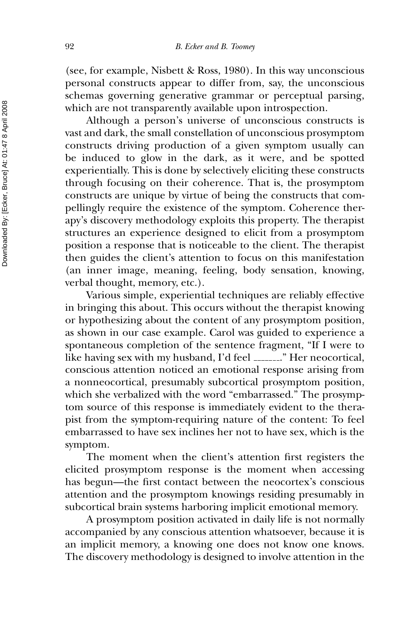(see, for example, Nisbett & Ross, 1980). In this way unconscious personal constructs appear to differ from, say, the unconscious schemas governing generative grammar or perceptual parsing, which are not transparently available upon introspection.

Although a person's universe of unconscious constructs is vast and dark, the small constellation of unconscious prosymptom constructs driving production of a given symptom usually can be induced to glow in the dark, as it were, and be spotted experientially. This is done by selectively eliciting these constructs through focusing on their coherence. That is, the prosymptom constructs are unique by virtue of being the constructs that compellingly require the existence of the symptom. Coherence therapy's discovery methodology exploits this property. The therapist structures an experience designed to elicit from a prosymptom position a response that is noticeable to the client. The therapist then guides the client's attention to focus on this manifestation (an inner image, meaning, feeling, body sensation, knowing, verbal thought, memory, etc.).

Various simple, experiential techniques are reliably effective in bringing this about. This occurs without the therapist knowing or hypothesizing about the content of any prosymptom position, as shown in our case example. Carol was guided to experience a spontaneous completion of the sentence fragment, "If I were to like having sex with my husband, I'd feel \_\_\_\_\_\_." Her neocortical, conscious attention noticed an emotional response arising from a nonneocortical, presumably subcortical prosymptom position, which she verbalized with the word "embarrassed." The prosymptom source of this response is immediately evident to the therapist from the symptom-requiring nature of the content: To feel embarrassed to have sex inclines her not to have sex, which is the symptom.

The moment when the client's attention first registers the elicited prosymptom response is the moment when accessing has begun—the first contact between the neocortex's conscious attention and the prosymptom knowings residing presumably in subcortical brain systems harboring implicit emotional memory.

A prosymptom position activated in daily life is not normally accompanied by any conscious attention whatsoever, because it is an implicit memory, a knowing one does not know one knows. The discovery methodology is designed to involve attention in the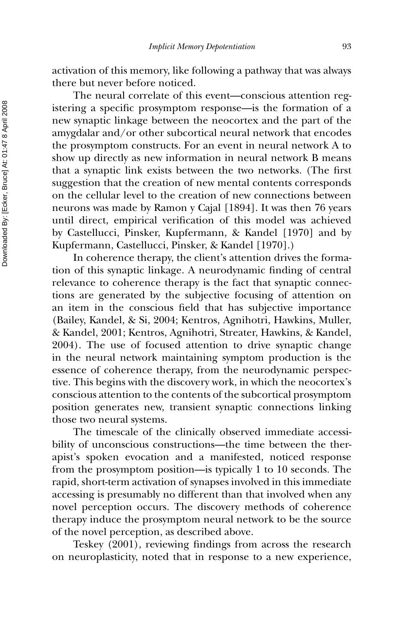activation of this memory, like following a pathway that was always there but never before noticed.

The neural correlate of this event—conscious attention registering a specific prosymptom response—is the formation of a new synaptic linkage between the neocortex and the part of the amygdalar and/or other subcortical neural network that encodes the prosymptom constructs. For an event in neural network A to show up directly as new information in neural network B means that a synaptic link exists between the two networks. (The first suggestion that the creation of new mental contents corresponds on the cellular level to the creation of new connections between neurons was made by Ramon y Cajal [1894]. It was then 76 years until direct, empirical verification of this model was achieved by Castellucci, Pinsker, Kupfermann, & Kandel [1970] and by Kupfermann, Castellucci, Pinsker, & Kandel [1970].)

In coherence therapy, the client's attention drives the formation of this synaptic linkage. A neurodynamic finding of central relevance to coherence therapy is the fact that synaptic connections are generated by the subjective focusing of attention on an item in the conscious field that has subjective importance (Bailey, Kandel, & Si, 2004; Kentros, Agnihotri, Hawkins, Muller, & Kandel, 2001; Kentros, Agnihotri, Streater, Hawkins, & Kandel, 2004). The use of focused attention to drive synaptic change in the neural network maintaining symptom production is the essence of coherence therapy, from the neurodynamic perspective. This begins with the discovery work, in which the neocortex's conscious attention to the contents of the subcortical prosymptom position generates new, transient synaptic connections linking those two neural systems.

The timescale of the clinically observed immediate accessibility of unconscious constructions—the time between the therapist's spoken evocation and a manifested, noticed response from the prosymptom position—is typically 1 to 10 seconds. The rapid, short-term activation of synapses involved in this immediate accessing is presumably no different than that involved when any novel perception occurs. The discovery methods of coherence therapy induce the prosymptom neural network to be the source of the novel perception, as described above.

Teskey (2001), reviewing findings from across the research on neuroplasticity, noted that in response to a new experience,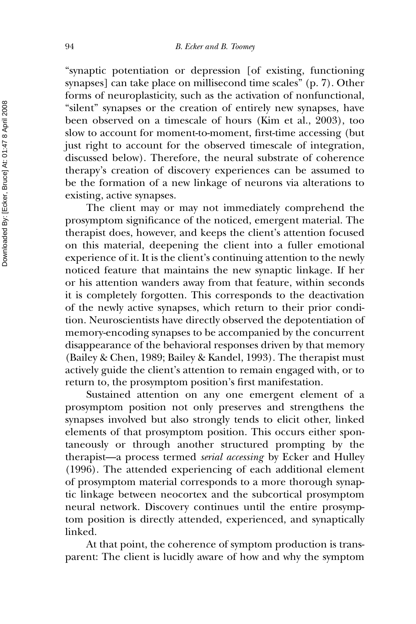"synaptic potentiation or depression [of existing, functioning synapses] can take place on millisecond time scales" (p. 7). Other forms of neuroplasticity, such as the activation of nonfunctional, "silent" synapses or the creation of entirely new synapses, have been observed on a timescale of hours (Kim et al., 2003), too slow to account for moment-to-moment, first-time accessing (but just right to account for the observed timescale of integration, discussed below). Therefore, the neural substrate of coherence therapy's creation of discovery experiences can be assumed to be the formation of a new linkage of neurons via alterations to existing, active synapses.

The client may or may not immediately comprehend the prosymptom significance of the noticed, emergent material. The therapist does, however, and keeps the client's attention focused on this material, deepening the client into a fuller emotional experience of it. It is the client's continuing attention to the newly noticed feature that maintains the new synaptic linkage. If her or his attention wanders away from that feature, within seconds it is completely forgotten. This corresponds to the deactivation of the newly active synapses, which return to their prior condition. Neuroscientists have directly observed the depotentiation of memory-encoding synapses to be accompanied by the concurrent disappearance of the behavioral responses driven by that memory (Bailey & Chen, 1989; Bailey & Kandel, 1993). The therapist must actively guide the client's attention to remain engaged with, or to return to, the prosymptom position's first manifestation.

Sustained attention on any one emergent element of a prosymptom position not only preserves and strengthens the synapses involved but also strongly tends to elicit other, linked elements of that prosymptom position. This occurs either spontaneously or through another structured prompting by the therapist—a process termed *serial accessing* by Ecker and Hulley (1996). The attended experiencing of each additional element of prosymptom material corresponds to a more thorough synaptic linkage between neocortex and the subcortical prosymptom neural network. Discovery continues until the entire prosymptom position is directly attended, experienced, and synaptically linked.

At that point, the coherence of symptom production is transparent: The client is lucidly aware of how and why the symptom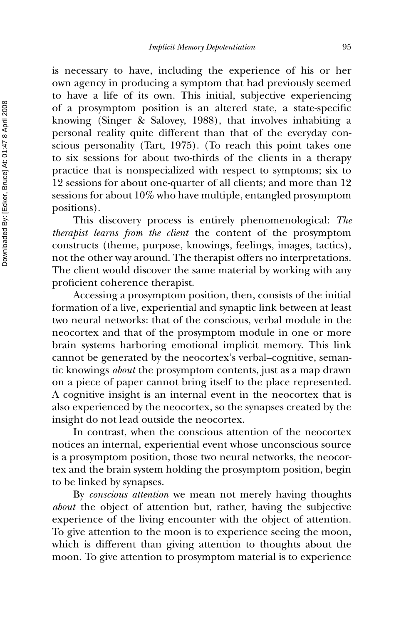is necessary to have, including the experience of his or her own agency in producing a symptom that had previously seemed to have a life of its own. This initial, subjective experiencing of a prosymptom position is an altered state, a state-specific knowing (Singer & Salovey, 1988), that involves inhabiting a personal reality quite different than that of the everyday conscious personality (Tart, 1975). (To reach this point takes one to six sessions for about two-thirds of the clients in a therapy practice that is nonspecialized with respect to symptoms; six to 12 sessions for about one-quarter of all clients; and more than 12 sessions for about 10% who have multiple, entangled prosymptom positions).

This discovery process is entirely phenomenological: *The therapist learns from the client* the content of the prosymptom constructs (theme, purpose, knowings, feelings, images, tactics), not the other way around. The therapist offers no interpretations. The client would discover the same material by working with any proficient coherence therapist.

Accessing a prosymptom position, then, consists of the initial formation of a live, experiential and synaptic link between at least two neural networks: that of the conscious, verbal module in the neocortex and that of the prosymptom module in one or more brain systems harboring emotional implicit memory. This link cannot be generated by the neocortex's verbal–cognitive, semantic knowings *about* the prosymptom contents, just as a map drawn on a piece of paper cannot bring itself to the place represented. A cognitive insight is an internal event in the neocortex that is also experienced by the neocortex, so the synapses created by the insight do not lead outside the neocortex.

In contrast, when the conscious attention of the neocortex notices an internal, experiential event whose unconscious source is a prosymptom position, those two neural networks, the neocortex and the brain system holding the prosymptom position, begin to be linked by synapses.

By *conscious attention* we mean not merely having thoughts *about* the object of attention but, rather, having the subjective experience of the living encounter with the object of attention. To give attention to the moon is to experience seeing the moon, which is different than giving attention to thoughts about the moon. To give attention to prosymptom material is to experience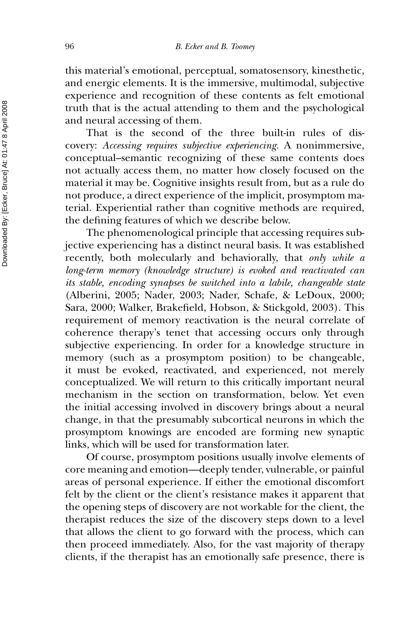this material's emotional, perceptual, somatosensory, kinesthetic, and energic elements. It is the immersive, multimodal, subjective experience and recognition of these contents as felt emotional truth that is the actual attending to them and the psychological and neural accessing of them.

That is the second of the three built-in rules of discovery: *Accessing requires subjective experiencing.* A nonimmersive, conceptual–semantic recognizing of these same contents does not actually access them, no matter how closely focused on the material it may be. Cognitive insights result from, but as a rule do not produce, a direct experience of the implicit, prosymptom material. Experiential rather than cognitive methods are required, the defining features of which we describe below.

The phenomenological principle that accessing requires subjective experiencing has a distinct neural basis. It was established recently, both molecularly and behaviorally, that *only while a long-term memory (knowledge structure) is evoked and reactivated can its stable, encoding synapses be switched into a labile, changeable state* (Alberini, 2005; Nader, 2003; Nader, Schafe, & LeDoux, 2000; Sara, 2000; Walker, Brakefield, Hobson, & Stickgold, 2003). This requirement of memory reactivation is the neural correlate of coherence therapy's tenet that accessing occurs only through subjective experiencing. In order for a knowledge structure in memory (such as a prosymptom position) to be changeable, it must be evoked, reactivated, and experienced, not merely conceptualized. We will return to this critically important neural mechanism in the section on transformation, below. Yet even the initial accessing involved in discovery brings about a neural change, in that the presumably subcortical neurons in which the prosymptom knowings are encoded are forming new synaptic links, which will be used for transformation later.

Of course, prosymptom positions usually involve elements of core meaning and emotion—deeply tender, vulnerable, or painful areas of personal experience. If either the emotional discomfort felt by the client or the client's resistance makes it apparent that the opening steps of discovery are not workable for the client, the therapist reduces the size of the discovery steps down to a level that allows the client to go forward with the process, which can then proceed immediately. Also, for the vast majority of therapy clients, if the therapist has an emotionally safe presence, there is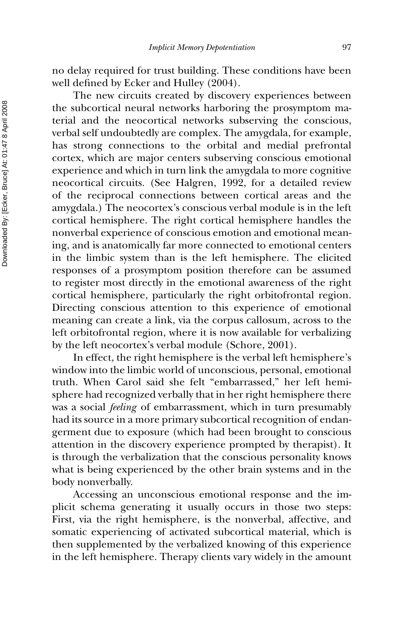no delay required for trust building. These conditions have been well defined by Ecker and Hulley (2004).

The new circuits created by discovery experiences between the subcortical neural networks harboring the prosymptom material and the neocortical networks subserving the conscious, verbal self undoubtedly are complex. The amygdala, for example, has strong connections to the orbital and medial prefrontal cortex, which are major centers subserving conscious emotional experience and which in turn link the amygdala to more cognitive neocortical circuits. (See Halgren, 1992, for a detailed review of the reciprocal connections between cortical areas and the amygdala.) The neocortex's conscious verbal module is in the left cortical hemisphere. The right cortical hemisphere handles the nonverbal experience of conscious emotion and emotional meaning, and is anatomically far more connected to emotional centers in the limbic system than is the left hemisphere. The elicited responses of a prosymptom position therefore can be assumed to register most directly in the emotional awareness of the right cortical hemisphere, particularly the right orbitofrontal region. Directing conscious attention to this experience of emotional meaning can create a link, via the corpus callosum, across to the left orbitofrontal region, where it is now available for verbalizing by the left neocortex's verbal module (Schore, 2001).

In effect, the right hemisphere is the verbal left hemisphere's window into the limbic world of unconscious, personal, emotional truth. When Carol said she felt "embarrassed," her left hemisphere had recognized verbally that in her right hemisphere there was a social *feeling* of embarrassment, which in turn presumably had its source in a more primary subcortical recognition of endangerment due to exposure (which had been brought to conscious attention in the discovery experience prompted by therapist). It is through the verbalization that the conscious personality knows what is being experienced by the other brain systems and in the body nonverbally.

Accessing an unconscious emotional response and the implicit schema generating it usually occurs in those two steps: First, via the right hemisphere, is the nonverbal, affective, and somatic experiencing of activated subcortical material, which is then supplemented by the verbalized knowing of this experience in the left hemisphere. Therapy clients vary widely in the amount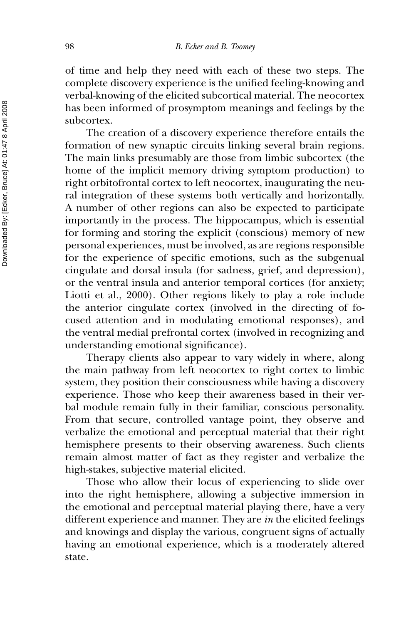of time and help they need with each of these two steps. The complete discovery experience is the unified feeling-knowing and verbal-knowing of the elicited subcortical material. The neocortex has been informed of prosymptom meanings and feelings by the subcortex.

The creation of a discovery experience therefore entails the formation of new synaptic circuits linking several brain regions. The main links presumably are those from limbic subcortex (the home of the implicit memory driving symptom production) to right orbitofrontal cortex to left neocortex, inaugurating the neural integration of these systems both vertically and horizontally. A number of other regions can also be expected to participate importantly in the process. The hippocampus, which is essential for forming and storing the explicit (conscious) memory of new personal experiences, must be involved, as are regions responsible for the experience of specific emotions, such as the subgenual cingulate and dorsal insula (for sadness, grief, and depression), or the ventral insula and anterior temporal cortices (for anxiety; Liotti et al., 2000). Other regions likely to play a role include the anterior cingulate cortex (involved in the directing of focused attention and in modulating emotional responses), and the ventral medial prefrontal cortex (involved in recognizing and understanding emotional significance).

Therapy clients also appear to vary widely in where, along the main pathway from left neocortex to right cortex to limbic system, they position their consciousness while having a discovery experience. Those who keep their awareness based in their verbal module remain fully in their familiar, conscious personality. From that secure, controlled vantage point, they observe and verbalize the emotional and perceptual material that their right hemisphere presents to their observing awareness. Such clients remain almost matter of fact as they register and verbalize the high-stakes, subjective material elicited.

Those who allow their locus of experiencing to slide over into the right hemisphere, allowing a subjective immersion in the emotional and perceptual material playing there, have a very different experience and manner. They are *in* the elicited feelings and knowings and display the various, congruent signs of actually having an emotional experience, which is a moderately altered state.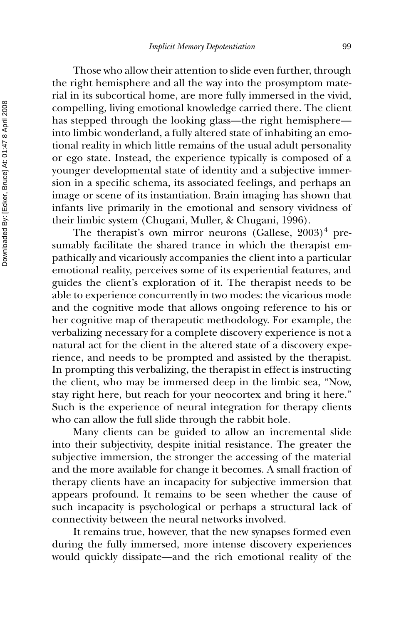Those who allow their attention to slide even further, through the right hemisphere and all the way into the prosymptom material in its subcortical home, are more fully immersed in the vivid, compelling, living emotional knowledge carried there. The client has stepped through the looking glass—the right hemisphere into limbic wonderland, a fully altered state of inhabiting an emotional reality in which little remains of the usual adult personality or ego state. Instead, the experience typically is composed of a younger developmental state of identity and a subjective immersion in a specific schema, its associated feelings, and perhaps an image or scene of its instantiation. Brain imaging has shown that infants live primarily in the emotional and sensory vividness of their limbic system (Chugani, Muller, & Chugani, 1996).

The therapist's own mirror neurons (Gallese,  $2003$ )<sup>4</sup> presumably facilitate the shared trance in which the therapist empathically and vicariously accompanies the client into a particular emotional reality, perceives some of its experiential features, and guides the client's exploration of it. The therapist needs to be able to experience concurrently in two modes: the vicarious mode and the cognitive mode that allows ongoing reference to his or her cognitive map of therapeutic methodology. For example, the verbalizing necessary for a complete discovery experience is not a natural act for the client in the altered state of a discovery experience, and needs to be prompted and assisted by the therapist. In prompting this verbalizing, the therapist in effect is instructing the client, who may be immersed deep in the limbic sea, "Now, stay right here, but reach for your neocortex and bring it here." Such is the experience of neural integration for therapy clients who can allow the full slide through the rabbit hole.

Many clients can be guided to allow an incremental slide into their subjectivity, despite initial resistance. The greater the subjective immersion, the stronger the accessing of the material and the more available for change it becomes. A small fraction of therapy clients have an incapacity for subjective immersion that appears profound. It remains to be seen whether the cause of such incapacity is psychological or perhaps a structural lack of connectivity between the neural networks involved.

It remains true, however, that the new synapses formed even during the fully immersed, more intense discovery experiences would quickly dissipate—and the rich emotional reality of the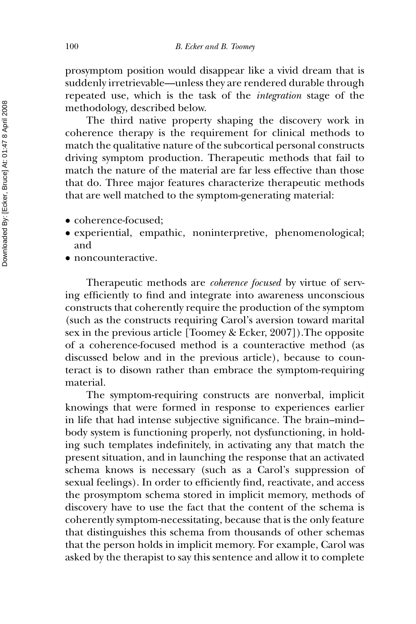prosymptom position would disappear like a vivid dream that is suddenly irretrievable—unless they are rendered durable through repeated use, which is the task of the *integration* stage of the methodology, described below.

The third native property shaping the discovery work in coherence therapy is the requirement for clinical methods to match the qualitative nature of the subcortical personal constructs driving symptom production. Therapeutic methods that fail to match the nature of the material are far less effective than those that do. Three major features characterize therapeutic methods that are well matched to the symptom-generating material:

- coherence-focused;
- experiential, empathic, noninterpretive, phenomenological; and
- $\bullet$  noncounteractive.

Therapeutic methods are *coherence focused* by virtue of serving efficiently to find and integrate into awareness unconscious constructs that coherently require the production of the symptom (such as the constructs requiring Carol's aversion toward marital sex in the previous article [Toomey & Ecker, 2007]).The opposite of a coherence-focused method is a counteractive method (as discussed below and in the previous article), because to counteract is to disown rather than embrace the symptom-requiring material.

The symptom-requiring constructs are nonverbal, implicit knowings that were formed in response to experiences earlier in life that had intense subjective significance. The brain–mind– body system is functioning properly, not dysfunctioning, in holding such templates indefinitely, in activating any that match the present situation, and in launching the response that an activated schema knows is necessary (such as a Carol's suppression of sexual feelings). In order to efficiently find, reactivate, and access the prosymptom schema stored in implicit memory, methods of discovery have to use the fact that the content of the schema is coherently symptom-necessitating, because that is the only feature that distinguishes this schema from thousands of other schemas that the person holds in implicit memory. For example, Carol was asked by the therapist to say this sentence and allow it to complete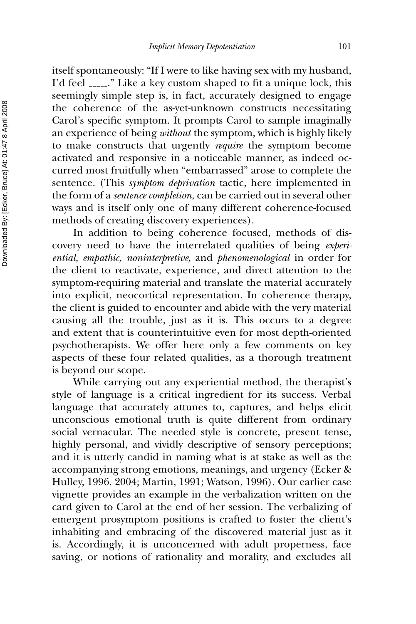itself spontaneously: "If I were to like having sex with my husband, I'd feel \_\_\_\_\_." Like a key custom shaped to fit a unique lock, this seemingly simple step is, in fact, accurately designed to engage the coherence of the as-yet-unknown constructs necessitating Carol's specific symptom. It prompts Carol to sample imaginally an experience of being *without* the symptom, which is highly likely to make constructs that urgently *require* the symptom become activated and responsive in a noticeable manner, as indeed occurred most fruitfully when "embarrassed" arose to complete the sentence. (This *symptom deprivation* tactic, here implemented in the form of a *sentence completion,* can be carried out in several other ways and is itself only one of many different coherence-focused methods of creating discovery experiences).

In addition to being coherence focused, methods of discovery need to have the interrelated qualities of being *experiential, empathic, noninterpretive,* and *phenomenological* in order for the client to reactivate, experience, and direct attention to the symptom-requiring material and translate the material accurately into explicit, neocortical representation. In coherence therapy, the client is guided to encounter and abide with the very material causing all the trouble, just as it is. This occurs to a degree and extent that is counterintuitive even for most depth-oriented psychotherapists. We offer here only a few comments on key aspects of these four related qualities, as a thorough treatment is beyond our scope.

While carrying out any experiential method, the therapist's style of language is a critical ingredient for its success. Verbal language that accurately attunes to, captures, and helps elicit unconscious emotional truth is quite different from ordinary social vernacular. The needed style is concrete, present tense, highly personal, and vividly descriptive of sensory perceptions; and it is utterly candid in naming what is at stake as well as the accompanying strong emotions, meanings, and urgency (Ecker & Hulley, 1996, 2004; Martin, 1991; Watson, 1996). Our earlier case vignette provides an example in the verbalization written on the card given to Carol at the end of her session. The verbalizing of emergent prosymptom positions is crafted to foster the client's inhabiting and embracing of the discovered material just as it is. Accordingly, it is unconcerned with adult properness, face saving, or notions of rationality and morality, and excludes all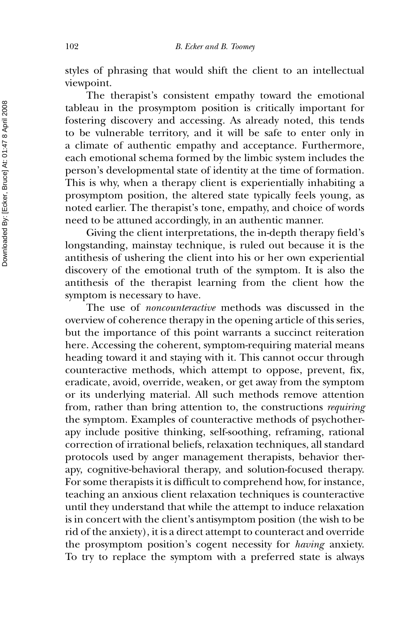styles of phrasing that would shift the client to an intellectual viewpoint.

The therapist's consistent empathy toward the emotional tableau in the prosymptom position is critically important for fostering discovery and accessing. As already noted, this tends to be vulnerable territory, and it will be safe to enter only in a climate of authentic empathy and acceptance. Furthermore, each emotional schema formed by the limbic system includes the person's developmental state of identity at the time of formation. This is why, when a therapy client is experientially inhabiting a prosymptom position, the altered state typically feels young, as noted earlier. The therapist's tone, empathy, and choice of words need to be attuned accordingly, in an authentic manner.

Giving the client interpretations, the in-depth therapy field's longstanding, mainstay technique, is ruled out because it is the antithesis of ushering the client into his or her own experiential discovery of the emotional truth of the symptom. It is also the antithesis of the therapist learning from the client how the symptom is necessary to have.

The use of *noncounteractive* methods was discussed in the overview of coherence therapy in the opening article of this series, but the importance of this point warrants a succinct reiteration here. Accessing the coherent, symptom-requiring material means heading toward it and staying with it. This cannot occur through counteractive methods, which attempt to oppose, prevent, fix, eradicate, avoid, override, weaken, or get away from the symptom or its underlying material. All such methods remove attention from, rather than bring attention to, the constructions *requiring* the symptom. Examples of counteractive methods of psychotherapy include positive thinking, self-soothing, reframing, rational correction of irrational beliefs, relaxation techniques, all standard protocols used by anger management therapists, behavior therapy, cognitive-behavioral therapy, and solution-focused therapy. For some therapists it is difficult to comprehend how, for instance, teaching an anxious client relaxation techniques is counteractive until they understand that while the attempt to induce relaxation is in concert with the client's antisymptom position (the wish to be rid of the anxiety), it is a direct attempt to counteract and override the prosymptom position's cogent necessity for *having* anxiety. To try to replace the symptom with a preferred state is always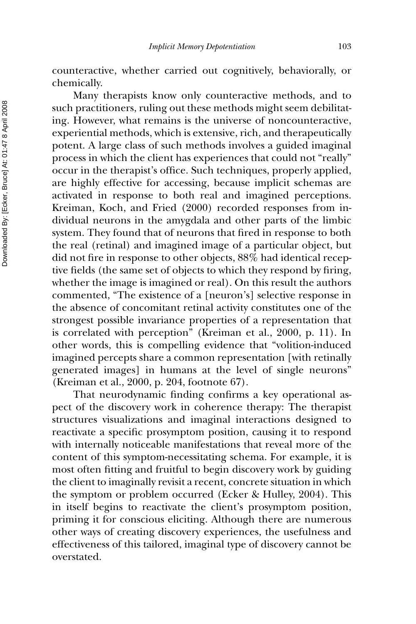counteractive, whether carried out cognitively, behaviorally, or chemically.

Many therapists know only counteractive methods, and to such practitioners, ruling out these methods might seem debilitating. However, what remains is the universe of noncounteractive, experiential methods, which is extensive, rich, and therapeutically potent. A large class of such methods involves a guided imaginal process in which the client has experiences that could not "really" occur in the therapist's office. Such techniques, properly applied, are highly effective for accessing, because implicit schemas are activated in response to both real and imagined perceptions. Kreiman, Koch, and Fried (2000) recorded responses from individual neurons in the amygdala and other parts of the limbic system. They found that of neurons that fired in response to both the real (retinal) and imagined image of a particular object, but did not fire in response to other objects, 88% had identical receptive fields (the same set of objects to which they respond by firing, whether the image is imagined or real). On this result the authors commented, "The existence of a [neuron's] selective response in the absence of concomitant retinal activity constitutes one of the strongest possible invariance properties of a representation that is correlated with perception" (Kreiman et al., 2000, p. 11). In other words, this is compelling evidence that "volition-induced imagined percepts share a common representation [with retinally generated images] in humans at the level of single neurons" (Kreiman et al., 2000, p. 204, footnote 67).

That neurodynamic finding confirms a key operational aspect of the discovery work in coherence therapy: The therapist structures visualizations and imaginal interactions designed to reactivate a specific prosymptom position, causing it to respond with internally noticeable manifestations that reveal more of the content of this symptom-necessitating schema. For example, it is most often fitting and fruitful to begin discovery work by guiding the client to imaginally revisit a recent, concrete situation in which the symptom or problem occurred (Ecker & Hulley, 2004). This in itself begins to reactivate the client's prosymptom position, priming it for conscious eliciting. Although there are numerous other ways of creating discovery experiences, the usefulness and effectiveness of this tailored, imaginal type of discovery cannot be overstated.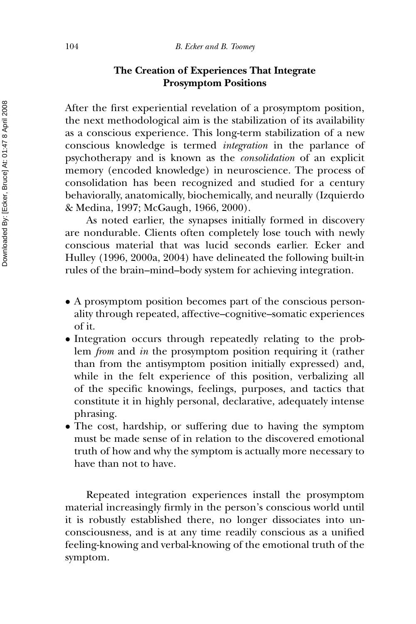# **The Creation of Experiences That Integrate Prosymptom Positions**

After the first experiential revelation of a prosymptom position, the next methodological aim is the stabilization of its availability as a conscious experience. This long-term stabilization of a new conscious knowledge is termed *integration* in the parlance of psychotherapy and is known as the *consolidation* of an explicit memory (encoded knowledge) in neuroscience. The process of consolidation has been recognized and studied for a century behaviorally, anatomically, biochemically, and neurally (Izquierdo & Medina, 1997; McGaugh, 1966, 2000).

As noted earlier, the synapses initially formed in discovery are nondurable. Clients often completely lose touch with newly conscious material that was lucid seconds earlier. Ecker and Hulley (1996, 2000a, 2004) have delineated the following built-in rules of the brain–mind–body system for achieving integration.

- A prosymptom position becomes part of the conscious personality through repeated, affective–cognitive–somatic experiences of it.
- Integration occurs through repeatedly relating to the problem *from* and *in* the prosymptom position requiring it (rather than from the antisymptom position initially expressed) and, while in the felt experience of this position, verbalizing all of the specific knowings, feelings, purposes, and tactics that constitute it in highly personal, declarative, adequately intense phrasing.
- The cost, hardship, or suffering due to having the symptom must be made sense of in relation to the discovered emotional truth of how and why the symptom is actually more necessary to have than not to have.

Repeated integration experiences install the prosymptom material increasingly firmly in the person's conscious world until it is robustly established there, no longer dissociates into unconsciousness, and is at any time readily conscious as a unified feeling-knowing and verbal-knowing of the emotional truth of the symptom.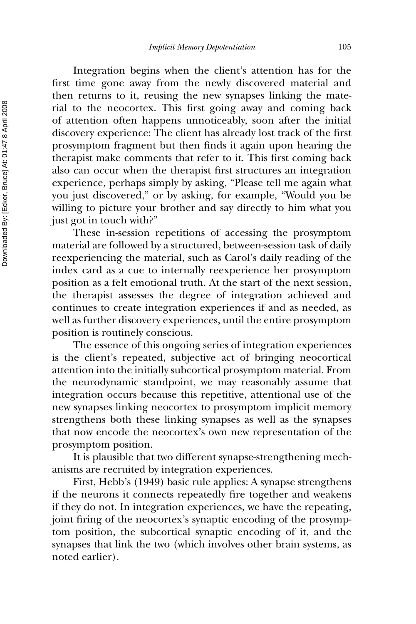Integration begins when the client's attention has for the first time gone away from the newly discovered material and then returns to it, reusing the new synapses linking the material to the neocortex. This first going away and coming back of attention often happens unnoticeably, soon after the initial discovery experience: The client has already lost track of the first prosymptom fragment but then finds it again upon hearing the therapist make comments that refer to it. This first coming back also can occur when the therapist first structures an integration experience, perhaps simply by asking, "Please tell me again what you just discovered," or by asking, for example, "Would you be willing to picture your brother and say directly to him what you just got in touch with?"

These in-session repetitions of accessing the prosymptom material are followed by a structured, between-session task of daily reexperiencing the material, such as Carol's daily reading of the index card as a cue to internally reexperience her prosymptom position as a felt emotional truth. At the start of the next session, the therapist assesses the degree of integration achieved and continues to create integration experiences if and as needed, as well as further discovery experiences, until the entire prosymptom position is routinely conscious.

The essence of this ongoing series of integration experiences is the client's repeated, subjective act of bringing neocortical attention into the initially subcortical prosymptom material. From the neurodynamic standpoint, we may reasonably assume that integration occurs because this repetitive, attentional use of the new synapses linking neocortex to prosymptom implicit memory strengthens both these linking synapses as well as the synapses that now encode the neocortex's own new representation of the prosymptom position.

It is plausible that two different synapse-strengthening mechanisms are recruited by integration experiences.

First, Hebb's (1949) basic rule applies: A synapse strengthens if the neurons it connects repeatedly fire together and weakens if they do not. In integration experiences, we have the repeating, joint firing of the neocortex's synaptic encoding of the prosymptom position, the subcortical synaptic encoding of it, and the synapses that link the two (which involves other brain systems, as noted earlier).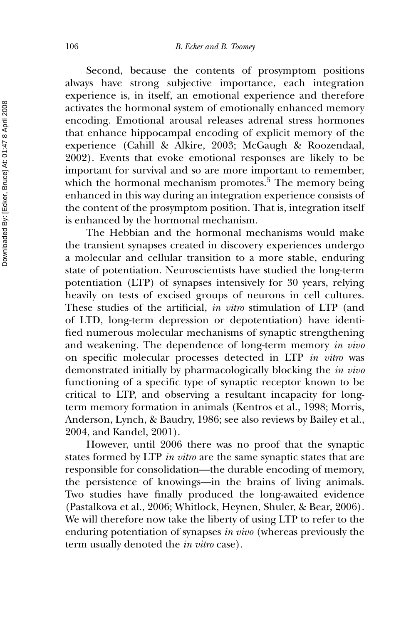Second, because the contents of prosymptom positions always have strong subjective importance, each integration experience is, in itself, an emotional experience and therefore activates the hormonal system of emotionally enhanced memory encoding. Emotional arousal releases adrenal stress hormones that enhance hippocampal encoding of explicit memory of the experience (Cahill & Alkire, 2003; McGaugh & Roozendaal, 2002). Events that evoke emotional responses are likely to be important for survival and so are more important to remember, which the hormonal mechanism promotes.<sup>5</sup> The memory being enhanced in this way during an integration experience consists of the content of the prosymptom position. That is, integration itself is enhanced by the hormonal mechanism.

The Hebbian and the hormonal mechanisms would make the transient synapses created in discovery experiences undergo a molecular and cellular transition to a more stable, enduring state of potentiation. Neuroscientists have studied the long-term potentiation (LTP) of synapses intensively for 30 years, relying heavily on tests of excised groups of neurons in cell cultures. These studies of the artificial, *in vitro* stimulation of LTP (and of LTD, long-term depression or depotentiation) have identified numerous molecular mechanisms of synaptic strengthening and weakening. The dependence of long-term memory *in vivo* on specific molecular processes detected in LTP *in vitro* was demonstrated initially by pharmacologically blocking the *in vivo* functioning of a specific type of synaptic receptor known to be critical to LTP, and observing a resultant incapacity for longterm memory formation in animals (Kentros et al., 1998; Morris, Anderson, Lynch, & Baudry, 1986; see also reviews by Bailey et al., 2004, and Kandel, 2001).

However, until 2006 there was no proof that the synaptic states formed by LTP *in vitro* are the same synaptic states that are responsible for consolidation—the durable encoding of memory, the persistence of knowings—in the brains of living animals. Two studies have finally produced the long-awaited evidence (Pastalkova et al., 2006; Whitlock, Heynen, Shuler, & Bear, 2006). We will therefore now take the liberty of using LTP to refer to the enduring potentiation of synapses *in vivo* (whereas previously the term usually denoted the *in vitro* case).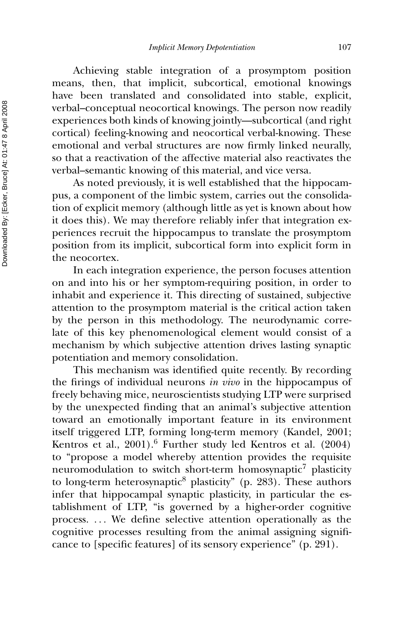Achieving stable integration of a prosymptom position means, then, that implicit, subcortical, emotional knowings have been translated and consolidated into stable, explicit, verbal–conceptual neocortical knowings. The person now readily experiences both kinds of knowing jointly—subcortical (and right cortical) feeling-knowing and neocortical verbal-knowing. These emotional and verbal structures are now firmly linked neurally, so that a reactivation of the affective material also reactivates the verbal–semantic knowing of this material, and vice versa.

As noted previously, it is well established that the hippocampus, a component of the limbic system, carries out the consolidation of explicit memory (although little as yet is known about how it does this). We may therefore reliably infer that integration experiences recruit the hippocampus to translate the prosymptom position from its implicit, subcortical form into explicit form in the neocortex.

In each integration experience, the person focuses attention on and into his or her symptom-requiring position, in order to inhabit and experience it. This directing of sustained, subjective attention to the prosymptom material is the critical action taken by the person in this methodology. The neurodynamic correlate of this key phenomenological element would consist of a mechanism by which subjective attention drives lasting synaptic potentiation and memory consolidation.

This mechanism was identified quite recently. By recording the firings of individual neurons *in vivo* in the hippocampus of freely behaving mice, neuroscientists studying LTP were surprised by the unexpected finding that an animal's subjective attention toward an emotionally important feature in its environment itself triggered LTP, forming long-term memory (Kandel, 2001; Kentros et al.,  $2001$ <sup>6</sup>. Further study led Kentros et al.  $(2004)$ to "propose a model whereby attention provides the requisite neuromodulation to switch short-term homosynaptic<sup>7</sup> plasticity to long-term heterosynaptic<sup>8</sup> plasticity" (p. 283). These authors infer that hippocampal synaptic plasticity, in particular the establishment of LTP, "is governed by a higher-order cognitive process. ... We define selective attention operationally as the cognitive processes resulting from the animal assigning significance to [specific features] of its sensory experience" (p. 291).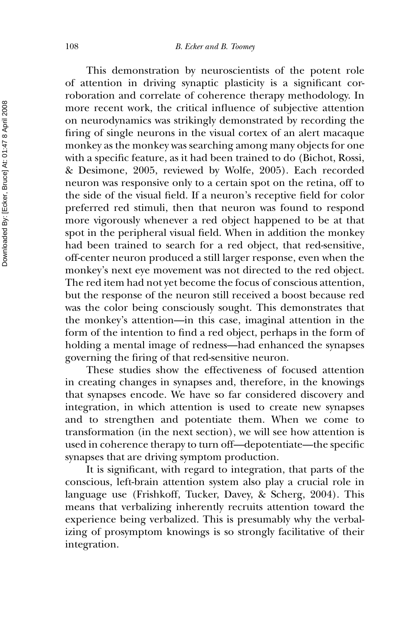This demonstration by neuroscientists of the potent role of attention in driving synaptic plasticity is a significant corroboration and correlate of coherence therapy methodology. In more recent work, the critical influence of subjective attention on neurodynamics was strikingly demonstrated by recording the firing of single neurons in the visual cortex of an alert macaque monkey as the monkey was searching among many objects for one with a specific feature, as it had been trained to do (Bichot, Rossi, & Desimone, 2005, reviewed by Wolfe, 2005). Each recorded neuron was responsive only to a certain spot on the retina, off to the side of the visual field. If a neuron's receptive field for color preferred red stimuli, then that neuron was found to respond more vigorously whenever a red object happened to be at that spot in the peripheral visual field. When in addition the monkey had been trained to search for a red object, that red-sensitive, off-center neuron produced a still larger response, even when the monkey's next eye movement was not directed to the red object. The red item had not yet become the focus of conscious attention, but the response of the neuron still received a boost because red was the color being consciously sought. This demonstrates that the monkey's attention—in this case, imaginal attention in the form of the intention to find a red object, perhaps in the form of holding a mental image of redness—had enhanced the synapses governing the firing of that red-sensitive neuron.

These studies show the effectiveness of focused attention in creating changes in synapses and, therefore, in the knowings that synapses encode. We have so far considered discovery and integration, in which attention is used to create new synapses and to strengthen and potentiate them. When we come to transformation (in the next section), we will see how attention is used in coherence therapy to turn off—depotentiate—the specific synapses that are driving symptom production.

It is significant, with regard to integration, that parts of the conscious, left-brain attention system also play a crucial role in language use (Frishkoff, Tucker, Davey, & Scherg, 2004). This means that verbalizing inherently recruits attention toward the experience being verbalized. This is presumably why the verbalizing of prosymptom knowings is so strongly facilitative of their integration.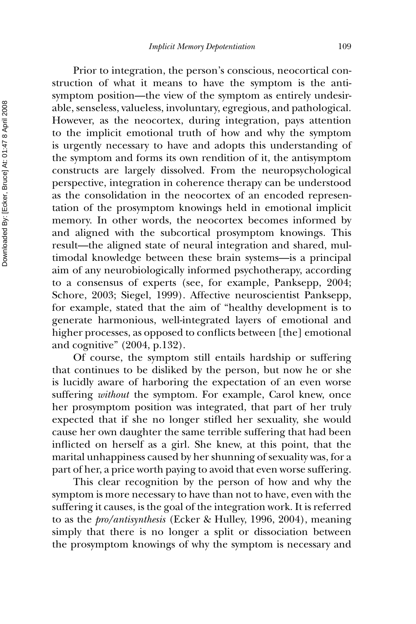Prior to integration, the person's conscious, neocortical construction of what it means to have the symptom is the antisymptom position—the view of the symptom as entirely undesirable, senseless, valueless, involuntary, egregious, and pathological. However, as the neocortex, during integration, pays attention to the implicit emotional truth of how and why the symptom is urgently necessary to have and adopts this understanding of the symptom and forms its own rendition of it, the antisymptom constructs are largely dissolved. From the neuropsychological perspective, integration in coherence therapy can be understood as the consolidation in the neocortex of an encoded representation of the prosymptom knowings held in emotional implicit memory. In other words, the neocortex becomes informed by and aligned with the subcortical prosymptom knowings. This result—the aligned state of neural integration and shared, multimodal knowledge between these brain systems—is a principal aim of any neurobiologically informed psychotherapy, according to a consensus of experts (see, for example, Panksepp, 2004; Schore, 2003; Siegel, 1999). Affective neuroscientist Panksepp, for example, stated that the aim of "healthy development is to generate harmonious, well-integrated layers of emotional and higher processes, as opposed to conflicts between [the] emotional and cognitive" (2004, p.132).

Of course, the symptom still entails hardship or suffering that continues to be disliked by the person, but now he or she is lucidly aware of harboring the expectation of an even worse suffering *without* the symptom. For example, Carol knew, once her prosymptom position was integrated, that part of her truly expected that if she no longer stifled her sexuality, she would cause her own daughter the same terrible suffering that had been inflicted on herself as a girl. She knew, at this point, that the marital unhappiness caused by her shunning of sexuality was, for a part of her, a price worth paying to avoid that even worse suffering.

This clear recognition by the person of how and why the symptom is more necessary to have than not to have, even with the suffering it causes, is the goal of the integration work. It is referred to as the *pro/antisynthesis* (Ecker & Hulley, 1996, 2004), meaning simply that there is no longer a split or dissociation between the prosymptom knowings of why the symptom is necessary and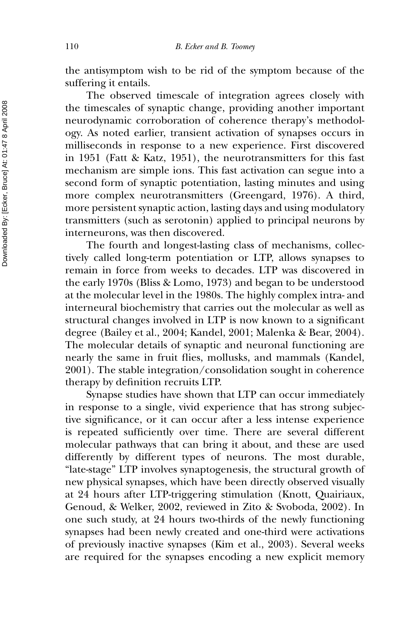the antisymptom wish to be rid of the symptom because of the suffering it entails.

The observed timescale of integration agrees closely with the timescales of synaptic change, providing another important neurodynamic corroboration of coherence therapy's methodology. As noted earlier, transient activation of synapses occurs in milliseconds in response to a new experience. First discovered in 1951 (Fatt & Katz, 1951), the neurotransmitters for this fast mechanism are simple ions. This fast activation can segue into a second form of synaptic potentiation, lasting minutes and using more complex neurotransmitters (Greengard, 1976). A third, more persistent synaptic action, lasting days and using modulatory transmitters (such as serotonin) applied to principal neurons by interneurons, was then discovered.

The fourth and longest-lasting class of mechanisms, collectively called long-term potentiation or LTP, allows synapses to remain in force from weeks to decades. LTP was discovered in the early 1970s (Bliss & Lomo, 1973) and began to be understood at the molecular level in the 1980s. The highly complex intra- and interneural biochemistry that carries out the molecular as well as structural changes involved in LTP is now known to a significant degree (Bailey et al., 2004; Kandel, 2001; Malenka & Bear, 2004). The molecular details of synaptic and neuronal functioning are nearly the same in fruit flies, mollusks, and mammals (Kandel, 2001). The stable integration/consolidation sought in coherence therapy by definition recruits LTP.

Synapse studies have shown that LTP can occur immediately in response to a single, vivid experience that has strong subjective significance, or it can occur after a less intense experience is repeated sufficiently over time. There are several different molecular pathways that can bring it about, and these are used differently by different types of neurons. The most durable, "late-stage" LTP involves synaptogenesis, the structural growth of new physical synapses, which have been directly observed visually at 24 hours after LTP-triggering stimulation (Knott, Quairiaux, Genoud, & Welker, 2002, reviewed in Zito & Svoboda, 2002). In one such study, at 24 hours two-thirds of the newly functioning synapses had been newly created and one-third were activations of previously inactive synapses (Kim et al., 2003). Several weeks are required for the synapses encoding a new explicit memory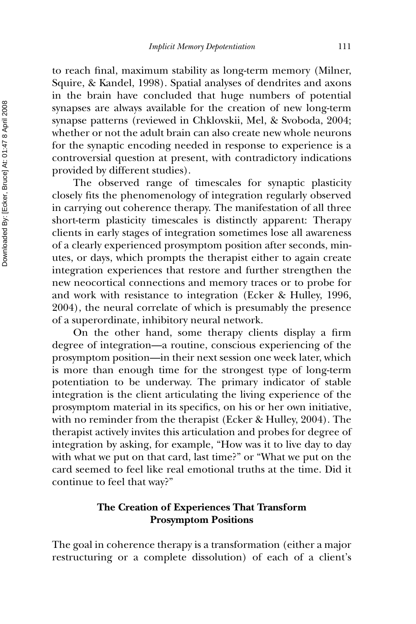to reach final, maximum stability as long-term memory (Milner, Squire, & Kandel, 1998). Spatial analyses of dendrites and axons in the brain have concluded that huge numbers of potential synapses are always available for the creation of new long-term synapse patterns (reviewed in Chklovskii, Mel, & Svoboda, 2004; whether or not the adult brain can also create new whole neurons for the synaptic encoding needed in response to experience is a controversial question at present, with contradictory indications provided by different studies).

The observed range of timescales for synaptic plasticity closely fits the phenomenology of integration regularly observed in carrying out coherence therapy. The manifestation of all three short-term plasticity timescales is distinctly apparent: Therapy clients in early stages of integration sometimes lose all awareness of a clearly experienced prosymptom position after seconds, minutes, or days, which prompts the therapist either to again create integration experiences that restore and further strengthen the new neocortical connections and memory traces or to probe for and work with resistance to integration (Ecker & Hulley, 1996, 2004), the neural correlate of which is presumably the presence of a superordinate, inhibitory neural network.

On the other hand, some therapy clients display a firm degree of integration—a routine, conscious experiencing of the prosymptom position—in their next session one week later, which is more than enough time for the strongest type of long-term potentiation to be underway. The primary indicator of stable integration is the client articulating the living experience of the prosymptom material in its specifics, on his or her own initiative, with no reminder from the therapist (Ecker & Hulley, 2004). The therapist actively invites this articulation and probes for degree of integration by asking, for example, "How was it to live day to day with what we put on that card, last time?" or "What we put on the card seemed to feel like real emotional truths at the time. Did it continue to feel that way?"

# **The Creation of Experiences That Transform Prosymptom Positions**

The goal in coherence therapy is a transformation (either a major restructuring or a complete dissolution) of each of a client's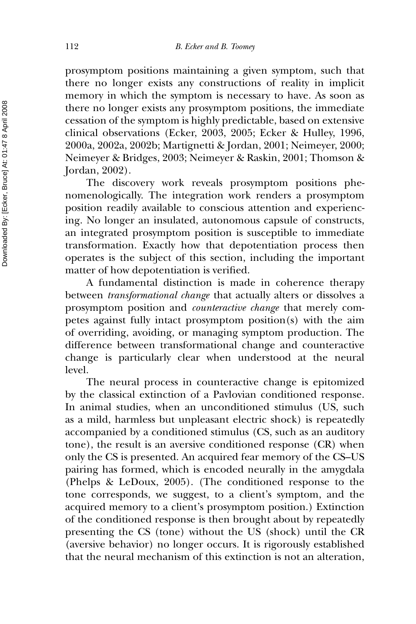prosymptom positions maintaining a given symptom, such that there no longer exists any constructions of reality in implicit memory in which the symptom is necessary to have. As soon as there no longer exists any prosymptom positions, the immediate cessation of the symptom is highly predictable, based on extensive clinical observations (Ecker, 2003, 2005; Ecker & Hulley, 1996, 2000a, 2002a, 2002b; Martignetti & Jordan, 2001; Neimeyer, 2000; Neimeyer & Bridges, 2003; Neimeyer & Raskin, 2001; Thomson & Jordan, 2002).

The discovery work reveals prosymptom positions phenomenologically. The integration work renders a prosymptom position readily available to conscious attention and experiencing. No longer an insulated, autonomous capsule of constructs, an integrated prosymptom position is susceptible to immediate transformation. Exactly how that depotentiation process then operates is the subject of this section, including the important matter of how depotentiation is verified.

A fundamental distinction is made in coherence therapy between *transformational change* that actually alters or dissolves a prosymptom position and *counteractive change* that merely competes against fully intact prosymptom position(s) with the aim of overriding, avoiding, or managing symptom production. The difference between transformational change and counteractive change is particularly clear when understood at the neural level.

The neural process in counteractive change is epitomized by the classical extinction of a Pavlovian conditioned response. In animal studies, when an unconditioned stimulus (US, such as a mild, harmless but unpleasant electric shock) is repeatedly accompanied by a conditioned stimulus (CS, such as an auditory tone), the result is an aversive conditioned response (CR) when only the CS is presented. An acquired fear memory of the CS–US pairing has formed, which is encoded neurally in the amygdala (Phelps & LeDoux, 2005). (The conditioned response to the tone corresponds, we suggest, to a client's symptom, and the acquired memory to a client's prosymptom position.) Extinction of the conditioned response is then brought about by repeatedly presenting the CS (tone) without the US (shock) until the CR (aversive behavior) no longer occurs. It is rigorously established that the neural mechanism of this extinction is not an alteration,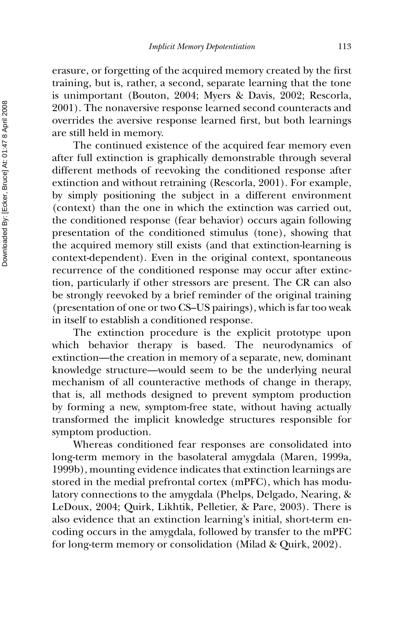erasure, or forgetting of the acquired memory created by the first training, but is, rather, a second, separate learning that the tone is unimportant (Bouton, 2004; Myers & Davis, 2002; Rescorla, 2001). The nonaversive response learned second counteracts and overrides the aversive response learned first, but both learnings are still held in memory.

The continued existence of the acquired fear memory even after full extinction is graphically demonstrable through several different methods of reevoking the conditioned response after extinction and without retraining (Rescorla, 2001). For example, by simply positioning the subject in a different environment (context) than the one in which the extinction was carried out, the conditioned response (fear behavior) occurs again following presentation of the conditioned stimulus (tone), showing that the acquired memory still exists (and that extinction-learning is context-dependent). Even in the original context, spontaneous recurrence of the conditioned response may occur after extinction, particularly if other stressors are present. The CR can also be strongly reevoked by a brief reminder of the original training (presentation of one or two CS–US pairings), which is far too weak in itself to establish a conditioned response.

The extinction procedure is the explicit prototype upon which behavior therapy is based. The neurodynamics of extinction—the creation in memory of a separate, new, dominant knowledge structure—would seem to be the underlying neural mechanism of all counteractive methods of change in therapy, that is, all methods designed to prevent symptom production by forming a new, symptom-free state, without having actually transformed the implicit knowledge structures responsible for symptom production.

Whereas conditioned fear responses are consolidated into long-term memory in the basolateral amygdala (Maren, 1999a, 1999b), mounting evidence indicates that extinction learnings are stored in the medial prefrontal cortex (mPFC), which has modulatory connections to the amygdala (Phelps, Delgado, Nearing, & LeDoux, 2004; Quirk, Likhtik, Pelletier, & Pare, 2003). There is also evidence that an extinction learning's initial, short-term encoding occurs in the amygdala, followed by transfer to the mPFC for long-term memory or consolidation (Milad & Quirk, 2002).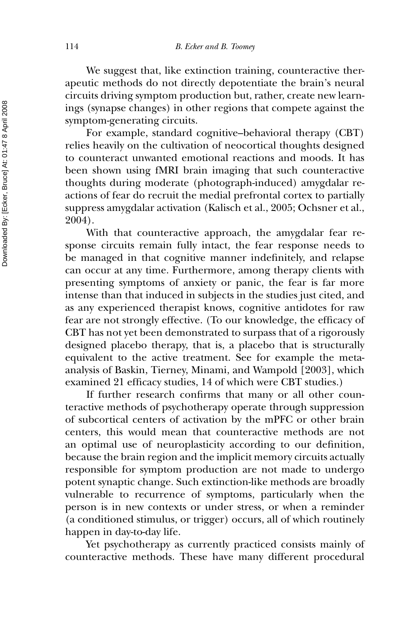We suggest that, like extinction training, counteractive therapeutic methods do not directly depotentiate the brain's neural circuits driving symptom production but, rather, create new learnings (synapse changes) in other regions that compete against the symptom-generating circuits.

For example, standard cognitive–behavioral therapy (CBT) relies heavily on the cultivation of neocortical thoughts designed to counteract unwanted emotional reactions and moods. It has been shown using fMRI brain imaging that such counteractive thoughts during moderate (photograph-induced) amygdalar reactions of fear do recruit the medial prefrontal cortex to partially suppress amygdalar activation (Kalisch et al., 2005; Ochsner et al., 2004).

With that counteractive approach, the amygdalar fear response circuits remain fully intact, the fear response needs to be managed in that cognitive manner indefinitely, and relapse can occur at any time. Furthermore, among therapy clients with presenting symptoms of anxiety or panic, the fear is far more intense than that induced in subjects in the studies just cited, and as any experienced therapist knows, cognitive antidotes for raw fear are not strongly effective. (To our knowledge, the efficacy of CBT has not yet been demonstrated to surpass that of a rigorously designed placebo therapy, that is, a placebo that is structurally equivalent to the active treatment. See for example the metaanalysis of Baskin, Tierney, Minami, and Wampold [2003], which examined 21 efficacy studies, 14 of which were CBT studies.)

If further research confirms that many or all other counteractive methods of psychotherapy operate through suppression of subcortical centers of activation by the mPFC or other brain centers, this would mean that counteractive methods are not an optimal use of neuroplasticity according to our definition, because the brain region and the implicit memory circuits actually responsible for symptom production are not made to undergo potent synaptic change. Such extinction-like methods are broadly vulnerable to recurrence of symptoms, particularly when the person is in new contexts or under stress, or when a reminder (a conditioned stimulus, or trigger) occurs, all of which routinely happen in day-to-day life.

Yet psychotherapy as currently practiced consists mainly of counteractive methods. These have many different procedural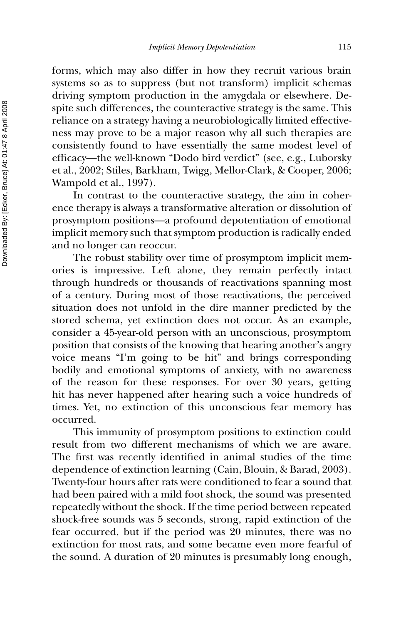forms, which may also differ in how they recruit various brain systems so as to suppress (but not transform) implicit schemas driving symptom production in the amygdala or elsewhere. Despite such differences, the counteractive strategy is the same. This reliance on a strategy having a neurobiologically limited effectiveness may prove to be a major reason why all such therapies are consistently found to have essentially the same modest level of efficacy—the well-known "Dodo bird verdict" (see, e.g., Luborsky et al., 2002; Stiles, Barkham, Twigg, Mellor-Clark, & Cooper, 2006; Wampold et al., 1997).

In contrast to the counteractive strategy, the aim in coherence therapy is always a transformative alteration or dissolution of prosymptom positions—a profound depotentiation of emotional implicit memory such that symptom production is radically ended and no longer can reoccur.

The robust stability over time of prosymptom implicit memories is impressive. Left alone, they remain perfectly intact through hundreds or thousands of reactivations spanning most of a century. During most of those reactivations, the perceived situation does not unfold in the dire manner predicted by the stored schema, yet extinction does not occur. As an example, consider a 45-year-old person with an unconscious, prosymptom position that consists of the knowing that hearing another's angry voice means "I'm going to be hit" and brings corresponding bodily and emotional symptoms of anxiety, with no awareness of the reason for these responses. For over 30 years, getting hit has never happened after hearing such a voice hundreds of times. Yet, no extinction of this unconscious fear memory has occurred.

This immunity of prosymptom positions to extinction could result from two different mechanisms of which we are aware. The first was recently identified in animal studies of the time dependence of extinction learning (Cain, Blouin, & Barad, 2003). Twenty-four hours after rats were conditioned to fear a sound that had been paired with a mild foot shock, the sound was presented repeatedly without the shock. If the time period between repeated shock-free sounds was 5 seconds, strong, rapid extinction of the fear occurred, but if the period was 20 minutes, there was no extinction for most rats, and some became even more fearful of the sound. A duration of 20 minutes is presumably long enough,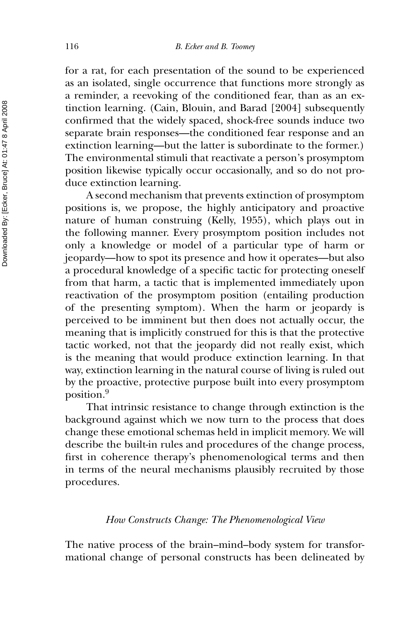for a rat, for each presentation of the sound to be experienced as an isolated, single occurrence that functions more strongly as a reminder, a reevoking of the conditioned fear, than as an extinction learning. (Cain, Blouin, and Barad [2004] subsequently confirmed that the widely spaced, shock-free sounds induce two separate brain responses—the conditioned fear response and an extinction learning—but the latter is subordinate to the former.) The environmental stimuli that reactivate a person's prosymptom position likewise typically occur occasionally, and so do not produce extinction learning.

A second mechanism that prevents extinction of prosymptom positions is, we propose, the highly anticipatory and proactive nature of human construing (Kelly, 1955), which plays out in the following manner. Every prosymptom position includes not only a knowledge or model of a particular type of harm or jeopardy—how to spot its presence and how it operates—but also a procedural knowledge of a specific tactic for protecting oneself from that harm, a tactic that is implemented immediately upon reactivation of the prosymptom position (entailing production of the presenting symptom). When the harm or jeopardy is perceived to be imminent but then does not actually occur, the meaning that is implicitly construed for this is that the protective tactic worked, not that the jeopardy did not really exist, which is the meaning that would produce extinction learning. In that way, extinction learning in the natural course of living is ruled out by the proactive, protective purpose built into every prosymptom position.<sup>9</sup>

That intrinsic resistance to change through extinction is the background against which we now turn to the process that does change these emotional schemas held in implicit memory. We will describe the built-in rules and procedures of the change process, first in coherence therapy's phenomenological terms and then in terms of the neural mechanisms plausibly recruited by those procedures.

## *How Constructs Change: The Phenomenological View*

The native process of the brain–mind–body system for transformational change of personal constructs has been delineated by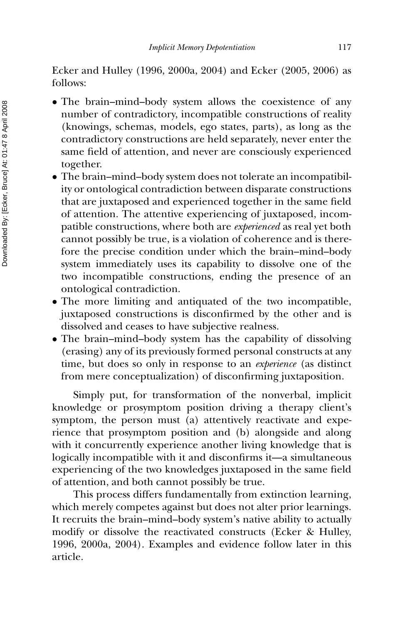Ecker and Hulley (1996, 2000a, 2004) and Ecker (2005, 2006) as follows:

- The brain–mind–body system allows the coexistence of any number of contradictory, incompatible constructions of reality (knowings, schemas, models, ego states, parts), as long as the contradictory constructions are held separately, never enter the same field of attention, and never are consciously experienced together.
- The brain–mind–body system does not tolerate an incompatibility or ontological contradiction between disparate constructions that are juxtaposed and experienced together in the same field of attention. The attentive experiencing of juxtaposed, incompatible constructions, where both are *experienced* as real yet both cannot possibly be true, is a violation of coherence and is therefore the precise condition under which the brain–mind–body system immediately uses its capability to dissolve one of the two incompatible constructions, ending the presence of an ontological contradiction.
- The more limiting and antiquated of the two incompatible, juxtaposed constructions is disconfirmed by the other and is dissolved and ceases to have subjective realness.
- The brain–mind–body system has the capability of dissolving (erasing) any of its previously formed personal constructs at any time, but does so only in response to an *experience* (as distinct from mere conceptualization) of disconfirming juxtaposition.

Simply put, for transformation of the nonverbal, implicit knowledge or prosymptom position driving a therapy client's symptom, the person must (a) attentively reactivate and experience that prosymptom position and (b) alongside and along with it concurrently experience another living knowledge that is logically incompatible with it and disconfirms it—a simultaneous experiencing of the two knowledges juxtaposed in the same field of attention, and both cannot possibly be true.

This process differs fundamentally from extinction learning, which merely competes against but does not alter prior learnings. It recruits the brain–mind–body system's native ability to actually modify or dissolve the reactivated constructs (Ecker & Hulley, 1996, 2000a, 2004). Examples and evidence follow later in this article.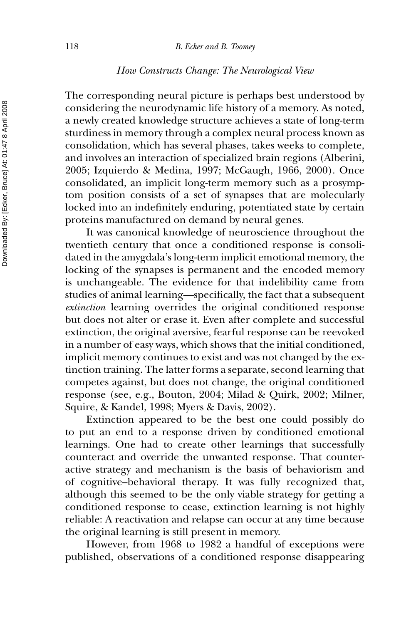### *How Constructs Change: The Neurological View*

The corresponding neural picture is perhaps best understood by considering the neurodynamic life history of a memory. As noted, a newly created knowledge structure achieves a state of long-term sturdiness in memory through a complex neural process known as consolidation*,* which has several phases, takes weeks to complete, and involves an interaction of specialized brain regions (Alberini, 2005; Izquierdo & Medina, 1997; McGaugh, 1966, 2000). Once consolidated, an implicit long-term memory such as a prosymptom position consists of a set of synapses that are molecularly locked into an indefinitely enduring, potentiated state by certain proteins manufactured on demand by neural genes.

It was canonical knowledge of neuroscience throughout the twentieth century that once a conditioned response is consolidated in the amygdala's long-term implicit emotional memory, the locking of the synapses is permanent and the encoded memory is unchangeable. The evidence for that indelibility came from studies of animal learning—specifically, the fact that a subsequent *extinction* learning overrides the original conditioned response but does not alter or erase it. Even after complete and successful extinction, the original aversive, fearful response can be reevoked in a number of easy ways, which shows that the initial conditioned, implicit memory continues to exist and was not changed by the extinction training. The latter forms a separate, second learning that competes against, but does not change, the original conditioned response (see, e.g., Bouton, 2004; Milad & Quirk, 2002; Milner, Squire, & Kandel, 1998; Myers & Davis, 2002).

Extinction appeared to be the best one could possibly do to put an end to a response driven by conditioned emotional learnings. One had to create other learnings that successfully counteract and override the unwanted response. That counteractive strategy and mechanism is the basis of behaviorism and of cognitive–behavioral therapy. It was fully recognized that, although this seemed to be the only viable strategy for getting a conditioned response to cease, extinction learning is not highly reliable: A reactivation and relapse can occur at any time because the original learning is still present in memory.

However, from 1968 to 1982 a handful of exceptions were published, observations of a conditioned response disappearing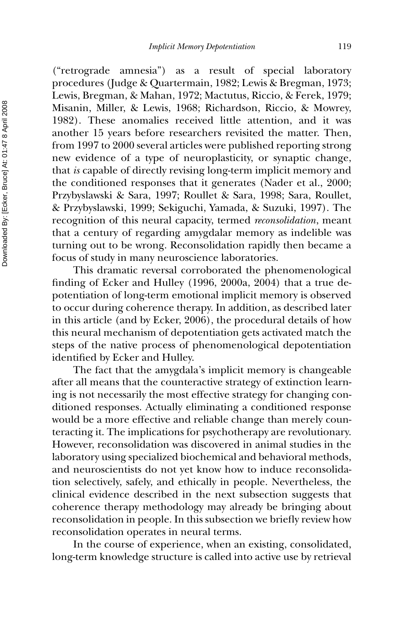("retrograde amnesia") as a result of special laboratory procedures (Judge & Quartermain, 1982; Lewis & Bregman, 1973; Lewis, Bregman, & Mahan, 1972; Mactutus, Riccio, & Ferek, 1979; Misanin, Miller, & Lewis, 1968; Richardson, Riccio, & Mowrey, 1982). These anomalies received little attention, and it was another 15 years before researchers revisited the matter. Then, from 1997 to 2000 several articles were published reporting strong new evidence of a type of neuroplasticity, or synaptic change, that *is* capable of directly revising long-term implicit memory and the conditioned responses that it generates (Nader et al., 2000; Przybyslawski & Sara, 1997; Roullet & Sara, 1998; Sara, Roullet, & Przybyslawski, 1999; Sekiguchi, Yamada, & Suzuki, 1997). The recognition of this neural capacity, termed *reconsolidation*, meant that a century of regarding amygdalar memory as indelible was turning out to be wrong. Reconsolidation rapidly then became a focus of study in many neuroscience laboratories.

This dramatic reversal corroborated the phenomenological finding of Ecker and Hulley (1996, 2000a, 2004) that a true depotentiation of long-term emotional implicit memory is observed to occur during coherence therapy. In addition, as described later in this article (and by Ecker, 2006), the procedural details of how this neural mechanism of depotentiation gets activated match the steps of the native process of phenomenological depotentiation identified by Ecker and Hulley.

The fact that the amygdala's implicit memory is changeable after all means that the counteractive strategy of extinction learning is not necessarily the most effective strategy for changing conditioned responses. Actually eliminating a conditioned response would be a more effective and reliable change than merely counteracting it. The implications for psychotherapy are revolutionary. However, reconsolidation was discovered in animal studies in the laboratory using specialized biochemical and behavioral methods, and neuroscientists do not yet know how to induce reconsolidation selectively, safely, and ethically in people. Nevertheless, the clinical evidence described in the next subsection suggests that coherence therapy methodology may already be bringing about reconsolidation in people. In this subsection we briefly review how reconsolidation operates in neural terms.

In the course of experience, when an existing, consolidated, long-term knowledge structure is called into active use by retrieval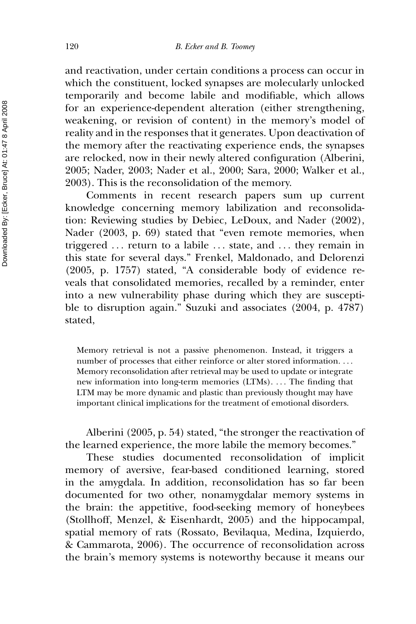and reactivation, under certain conditions a process can occur in which the constituent, locked synapses are molecularly unlocked temporarily and become labile and modifiable, which allows for an experience-dependent alteration (either strengthening, weakening, or revision of content) in the memory's model of reality and in the responses that it generates. Upon deactivation of the memory after the reactivating experience ends, the synapses are relocked, now in their newly altered configuration (Alberini, 2005; Nader, 2003; Nader et al., 2000; Sara, 2000; Walker et al., 2003). This is the reconsolidation of the memory.

Comments in recent research papers sum up current knowledge concerning memory labilization and reconsolidation: Reviewing studies by Debiec, LeDoux, and Nader (2002), Nader (2003, p. 69) stated that "even remote memories, when triggered ... return to a labile ... state, and ... they remain in this state for several days." Frenkel, Maldonado, and Delorenzi (2005, p. 1757) stated, "A considerable body of evidence reveals that consolidated memories, recalled by a reminder, enter into a new vulnerability phase during which they are susceptible to disruption again." Suzuki and associates (2004, p. 4787) stated,

Memory retrieval is not a passive phenomenon. Instead, it triggers a number of processes that either reinforce or alter stored information.... Memory reconsolidation after retrieval may be used to update or integrate new information into long-term memories (LTMs). ... The finding that LTM may be more dynamic and plastic than previously thought may have important clinical implications for the treatment of emotional disorders.

Alberini (2005, p. 54) stated, "the stronger the reactivation of the learned experience, the more labile the memory becomes."

These studies documented reconsolidation of implicit memory of aversive, fear-based conditioned learning, stored in the amygdala. In addition, reconsolidation has so far been documented for two other, nonamygdalar memory systems in the brain: the appetitive, food-seeking memory of honeybees (Stollhoff, Menzel, & Eisenhardt, 2005) and the hippocampal, spatial memory of rats (Rossato, Bevilaqua, Medina, Izquierdo, & Cammarota, 2006). The occurrence of reconsolidation across the brain's memory systems is noteworthy because it means our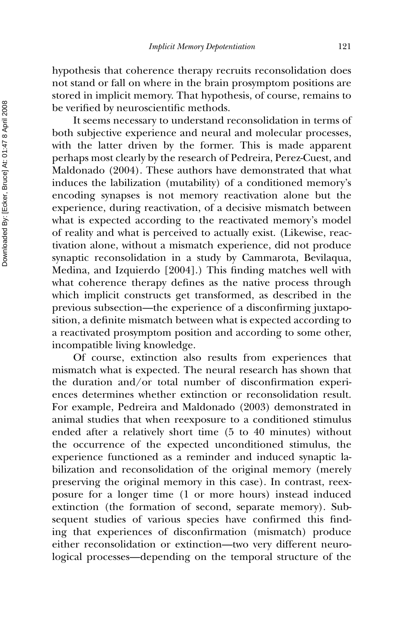hypothesis that coherence therapy recruits reconsolidation does not stand or fall on where in the brain prosymptom positions are stored in implicit memory. That hypothesis, of course, remains to be verified by neuroscientific methods.

It seems necessary to understand reconsolidation in terms of both subjective experience and neural and molecular processes, with the latter driven by the former. This is made apparent perhaps most clearly by the research of Pedreira, Perez-Cuest, and Maldonado (2004). These authors have demonstrated that what induces the labilization (mutability) of a conditioned memory's encoding synapses is not memory reactivation alone but the experience, during reactivation, of a decisive mismatch between what is expected according to the reactivated memory's model of reality and what is perceived to actually exist. (Likewise, reactivation alone, without a mismatch experience, did not produce synaptic reconsolidation in a study by Cammarota, Bevilaqua, Medina, and Izquierdo [2004].) This finding matches well with what coherence therapy defines as the native process through which implicit constructs get transformed, as described in the previous subsection—the experience of a disconfirming juxtaposition, a definite mismatch between what is expected according to a reactivated prosymptom position and according to some other, incompatible living knowledge.

Of course, extinction also results from experiences that mismatch what is expected. The neural research has shown that the duration and/or total number of disconfirmation experiences determines whether extinction or reconsolidation result. For example, Pedreira and Maldonado (2003) demonstrated in animal studies that when reexposure to a conditioned stimulus ended after a relatively short time (5 to 40 minutes) without the occurrence of the expected unconditioned stimulus, the experience functioned as a reminder and induced synaptic labilization and reconsolidation of the original memory (merely preserving the original memory in this case). In contrast, reexposure for a longer time (1 or more hours) instead induced extinction (the formation of second, separate memory). Subsequent studies of various species have confirmed this finding that experiences of disconfirmation (mismatch) produce either reconsolidation or extinction—two very different neurological processes—depending on the temporal structure of the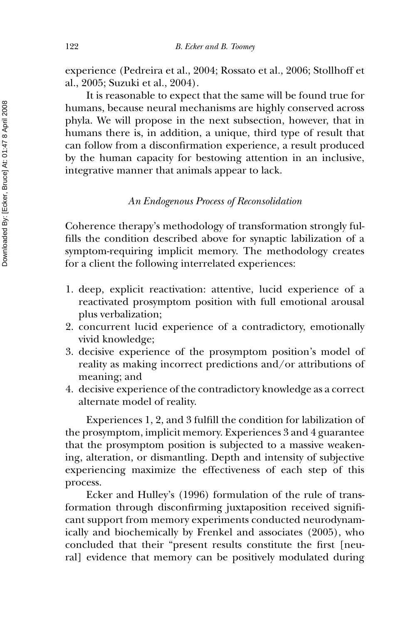experience (Pedreira et al., 2004; Rossato et al., 2006; Stollhoff et al., 2005; Suzuki et al., 2004).

It is reasonable to expect that the same will be found true for humans, because neural mechanisms are highly conserved across phyla. We will propose in the next subsection, however, that in humans there is, in addition, a unique, third type of result that can follow from a disconfirmation experience, a result produced by the human capacity for bestowing attention in an inclusive, integrative manner that animals appear to lack.

#### *An Endogenous Process of Reconsolidation*

Coherence therapy's methodology of transformation strongly fulfills the condition described above for synaptic labilization of a symptom-requiring implicit memory. The methodology creates for a client the following interrelated experiences:

- 1. deep, explicit reactivation: attentive, lucid experience of a reactivated prosymptom position with full emotional arousal plus verbalization;
- 2. concurrent lucid experience of a contradictory, emotionally vivid knowledge;
- 3. decisive experience of the prosymptom position's model of reality as making incorrect predictions and/or attributions of meaning; and
- 4. decisive experience of the contradictory knowledge as a correct alternate model of reality.

Experiences 1, 2, and 3 fulfill the condition for labilization of the prosymptom, implicit memory. Experiences 3 and 4 guarantee that the prosymptom position is subjected to a massive weakening, alteration, or dismantling. Depth and intensity of subjective experiencing maximize the effectiveness of each step of this process.

Ecker and Hulley's (1996) formulation of the rule of transformation through disconfirming juxtaposition received significant support from memory experiments conducted neurodynamically and biochemically by Frenkel and associates (2005), who concluded that their "present results constitute the first [neural] evidence that memory can be positively modulated during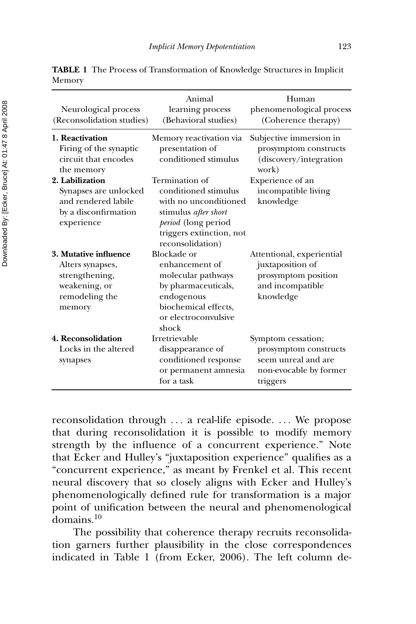| Neurological process<br>(Reconsolidation studies)                                                                                                                                        | Animal<br>learning process<br>(Behavioral studies)                                                                                                                                                                                   | Human<br>phenomenological process<br>(Coherence therapy)                                                                                    |
|------------------------------------------------------------------------------------------------------------------------------------------------------------------------------------------|--------------------------------------------------------------------------------------------------------------------------------------------------------------------------------------------------------------------------------------|---------------------------------------------------------------------------------------------------------------------------------------------|
| 1. Reactivation<br>Firing of the synaptic<br>circuit that encodes<br>the memory<br>2. Labilization<br>Synapses are unlocked<br>and rendered labile<br>by a disconfirmation<br>experience | Memory reactivation via<br>presentation of<br>conditioned stimulus<br>Termination of<br>conditioned stimulus<br>with no unconditioned<br>stimulus after short<br>period (long period<br>triggers extinction, not<br>reconsolidation) | Subjective immersion in<br>prosymptom constructs<br>(discovery/integration<br>work)<br>Experience of an<br>incompatible living<br>knowledge |
| 3. Mutative influence<br>Alters synapses,<br>strengthening,<br>weakening, or<br>remodeling the<br>memory                                                                                 | Blockade or<br>enhancement of<br>molecular pathways<br>by pharmaceuticals,<br>endogenous<br>biochemical effects.<br>or electroconvulsive<br>shock                                                                                    | Attentional, experiential<br>juxtaposition of<br>prosymptom position<br>and incompatible<br>knowledge                                       |
| 4. Reconsolidation<br>Locks in the altered<br>synapses                                                                                                                                   | Irretrievable<br>disappearance of<br>conditioned response<br>or permanent amnesia<br>for a task                                                                                                                                      | Symptom cessation;<br>prosymptom constructs<br>seem unreal and are<br>non-evocable by former<br>triggers                                    |

**TABLE 1** The Process of Transformation of Knowledge Structures in Implicit Memory

reconsolidation through ... a real-life episode. ... We propose that during reconsolidation it is possible to modify memory strength by the influence of a concurrent experience." Note that Ecker and Hulley's "juxtaposition experience" qualifies as a "concurrent experience," as meant by Frenkel et al. This recent neural discovery that so closely aligns with Ecker and Hulley's phenomenologically defined rule for transformation is a major point of unification between the neural and phenomenological domains.<sup>10</sup>

The possibility that coherence therapy recruits reconsolidation garners further plausibility in the close correspondences indicated in Table 1 (from Ecker, 2006). The left column de-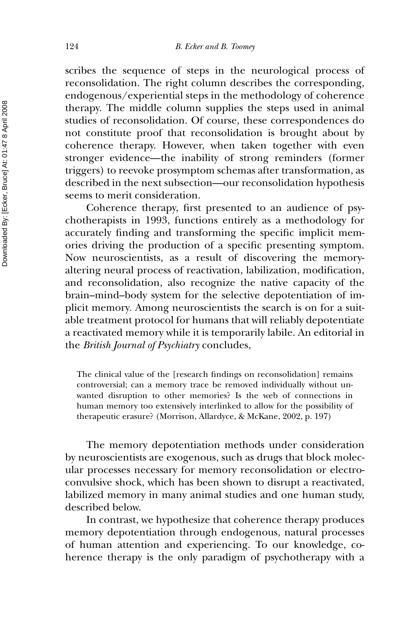scribes the sequence of steps in the neurological process of reconsolidation. The right column describes the corresponding, endogenous/experiential steps in the methodology of coherence therapy. The middle column supplies the steps used in animal studies of reconsolidation. Of course, these correspondences do not constitute proof that reconsolidation is brought about by coherence therapy. However, when taken together with even stronger evidence—the inability of strong reminders (former triggers) to reevoke prosymptom schemas after transformation, as described in the next subsection—our reconsolidation hypothesis seems to merit consideration.

Coherence therapy, first presented to an audience of psychotherapists in 1993, functions entirely as a methodology for accurately finding and transforming the specific implicit memories driving the production of a specific presenting symptom. Now neuroscientists, as a result of discovering the memoryaltering neural process of reactivation, labilization, modification, and reconsolidation, also recognize the native capacity of the brain–mind–body system for the selective depotentiation of implicit memory. Among neuroscientists the search is on for a suitable treatment protocol for humans that will reliably depotentiate a reactivated memory while it is temporarily labile. An editorial in the *British Journal of Psychiatry* concludes,

The clinical value of the [research findings on reconsolidation] remains controversial; can a memory trace be removed individually without unwanted disruption to other memories? Is the web of connections in human memory too extensively interlinked to allow for the possibility of therapeutic erasure? (Morrison, Allardyce, & McKane, 2002, p. 197)

The memory depotentiation methods under consideration by neuroscientists are exogenous, such as drugs that block molecular processes necessary for memory reconsolidation or electroconvulsive shock, which has been shown to disrupt a reactivated, labilized memory in many animal studies and one human study, described below.

In contrast, we hypothesize that coherence therapy produces memory depotentiation through endogenous, natural processes of human attention and experiencing. To our knowledge, coherence therapy is the only paradigm of psychotherapy with a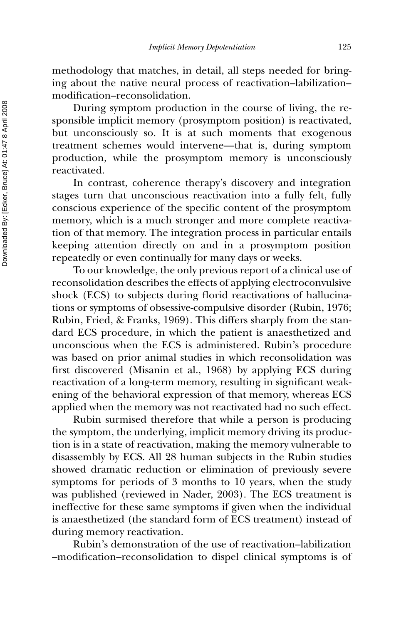methodology that matches, in detail, all steps needed for bringing about the native neural process of reactivation–labilization– modification–reconsolidation.

During symptom production in the course of living, the responsible implicit memory (prosymptom position) is reactivated, but unconsciously so. It is at such moments that exogenous treatment schemes would intervene—that is, during symptom production, while the prosymptom memory is unconsciously reactivated.

In contrast, coherence therapy's discovery and integration stages turn that unconscious reactivation into a fully felt, fully conscious experience of the specific content of the prosymptom memory, which is a much stronger and more complete reactivation of that memory. The integration process in particular entails keeping attention directly on and in a prosymptom position repeatedly or even continually for many days or weeks.

To our knowledge, the only previous report of a clinical use of reconsolidation describes the effects of applying electroconvulsive shock (ECS) to subjects during florid reactivations of hallucinations or symptoms of obsessive-compulsive disorder (Rubin, 1976; Rubin, Fried, & Franks, 1969). This differs sharply from the standard ECS procedure, in which the patient is anaesthetized and unconscious when the ECS is administered. Rubin's procedure was based on prior animal studies in which reconsolidation was first discovered (Misanin et al., 1968) by applying ECS during reactivation of a long-term memory, resulting in significant weakening of the behavioral expression of that memory, whereas ECS applied when the memory was not reactivated had no such effect.

Rubin surmised therefore that while a person is producing the symptom, the underlying, implicit memory driving its production is in a state of reactivation, making the memory vulnerable to disassembly by ECS. All 28 human subjects in the Rubin studies showed dramatic reduction or elimination of previously severe symptoms for periods of 3 months to 10 years, when the study was published (reviewed in Nader, 2003). The ECS treatment is ineffective for these same symptoms if given when the individual is anaesthetized (the standard form of ECS treatment) instead of during memory reactivation.

Rubin's demonstration of the use of reactivation–labilization –modification–reconsolidation to dispel clinical symptoms is of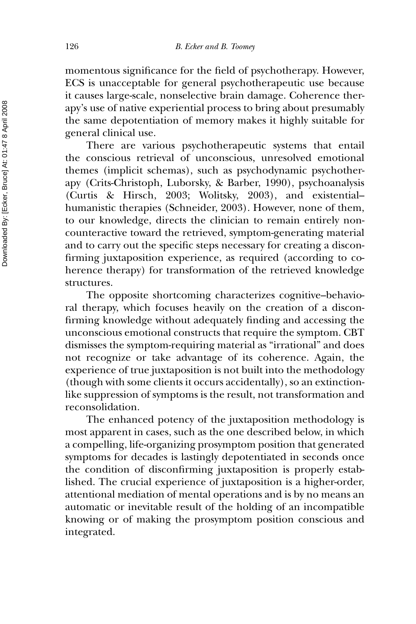momentous significance for the field of psychotherapy. However, ECS is unacceptable for general psychotherapeutic use because it causes large-scale, nonselective brain damage. Coherence therapy's use of native experiential process to bring about presumably the same depotentiation of memory makes it highly suitable for general clinical use.

There are various psychotherapeutic systems that entail the conscious retrieval of unconscious, unresolved emotional themes (implicit schemas), such as psychodynamic psychotherapy (Crits-Christoph, Luborsky, & Barber, 1990), psychoanalysis (Curtis & Hirsch, 2003; Wolitsky, 2003), and existential– humanistic therapies (Schneider, 2003). However, none of them, to our knowledge, directs the clinician to remain entirely noncounteractive toward the retrieved, symptom-generating material and to carry out the specific steps necessary for creating a disconfirming juxtaposition experience, as required (according to coherence therapy) for transformation of the retrieved knowledge structures.

The opposite shortcoming characterizes cognitive–behavioral therapy, which focuses heavily on the creation of a disconfirming knowledge without adequately finding and accessing the unconscious emotional constructs that require the symptom. CBT dismisses the symptom-requiring material as "irrational" and does not recognize or take advantage of its coherence. Again, the experience of true juxtaposition is not built into the methodology (though with some clients it occurs accidentally), so an extinctionlike suppression of symptoms is the result, not transformation and reconsolidation.

The enhanced potency of the juxtaposition methodology is most apparent in cases, such as the one described below, in which a compelling, life-organizing prosymptom position that generated symptoms for decades is lastingly depotentiated in seconds once the condition of disconfirming juxtaposition is properly established. The crucial experience of juxtaposition is a higher-order, attentional mediation of mental operations and is by no means an automatic or inevitable result of the holding of an incompatible knowing or of making the prosymptom position conscious and integrated.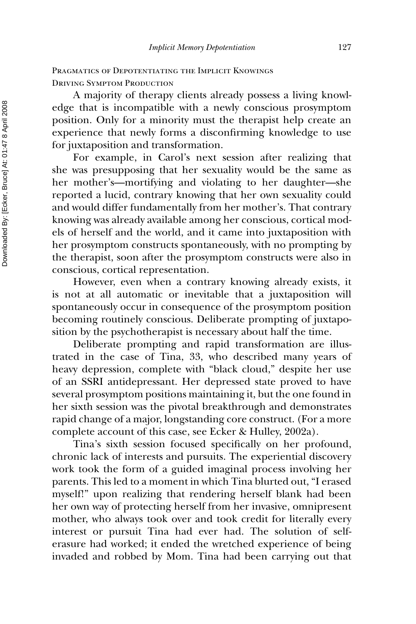PRAGMATICS OF DEPOTENTIATING THE IMPLICIT KNOWINGS Driving Symptom Production

A majority of therapy clients already possess a living knowledge that is incompatible with a newly conscious prosymptom position. Only for a minority must the therapist help create an experience that newly forms a disconfirming knowledge to use for juxtaposition and transformation.

For example, in Carol's next session after realizing that she was presupposing that her sexuality would be the same as her mother's—mortifying and violating to her daughter—she reported a lucid, contrary knowing that her own sexuality could and would differ fundamentally from her mother's. That contrary knowing was already available among her conscious, cortical models of herself and the world, and it came into juxtaposition with her prosymptom constructs spontaneously, with no prompting by the therapist, soon after the prosymptom constructs were also in conscious, cortical representation.

However, even when a contrary knowing already exists, it is not at all automatic or inevitable that a juxtaposition will spontaneously occur in consequence of the prosymptom position becoming routinely conscious. Deliberate prompting of juxtaposition by the psychotherapist is necessary about half the time.

Deliberate prompting and rapid transformation are illustrated in the case of Tina, 33, who described many years of heavy depression, complete with "black cloud," despite her use of an SSRI antidepressant. Her depressed state proved to have several prosymptom positions maintaining it, but the one found in her sixth session was the pivotal breakthrough and demonstrates rapid change of a major, longstanding core construct. (For a more complete account of this case, see Ecker & Hulley, 2002a).

Tina's sixth session focused specifically on her profound, chronic lack of interests and pursuits. The experiential discovery work took the form of a guided imaginal process involving her parents. This led to a moment in which Tina blurted out, "I erased myself!" upon realizing that rendering herself blank had been her own way of protecting herself from her invasive, omnipresent mother, who always took over and took credit for literally every interest or pursuit Tina had ever had. The solution of selferasure had worked; it ended the wretched experience of being invaded and robbed by Mom. Tina had been carrying out that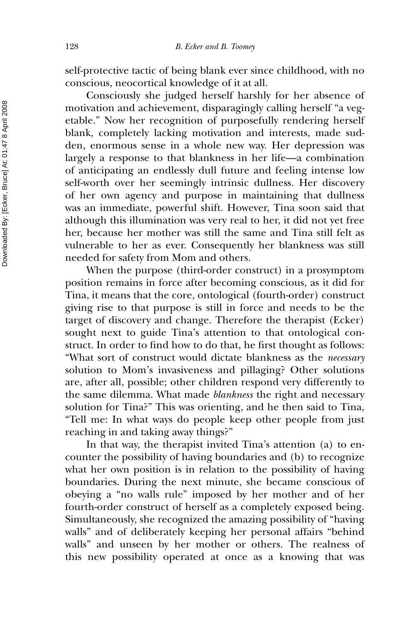self-protective tactic of being blank ever since childhood, with no conscious, neocortical knowledge of it at all.

Consciously she judged herself harshly for her absence of motivation and achievement, disparagingly calling herself "a vegetable." Now her recognition of purposefully rendering herself blank, completely lacking motivation and interests, made sudden, enormous sense in a whole new way. Her depression was largely a response to that blankness in her life—a combination of anticipating an endlessly dull future and feeling intense low self-worth over her seemingly intrinsic dullness. Her discovery of her own agency and purpose in maintaining that dullness was an immediate, powerful shift. However, Tina soon said that although this illumination was very real to her, it did not yet free her, because her mother was still the same and Tina still felt as vulnerable to her as ever. Consequently her blankness was still needed for safety from Mom and others.

When the purpose (third-order construct) in a prosymptom position remains in force after becoming conscious, as it did for Tina, it means that the core, ontological (fourth-order) construct giving rise to that purpose is still in force and needs to be the target of discovery and change. Therefore the therapist (Ecker) sought next to guide Tina's attention to that ontological construct. In order to find how to do that, he first thought as follows: "What sort of construct would dictate blankness as the *necessary* solution to Mom's invasiveness and pillaging? Other solutions are, after all, possible; other children respond very differently to the same dilemma. What made *blankness* the right and necessary solution for Tina?" This was orienting, and he then said to Tina, "Tell me: In what ways do people keep other people from just reaching in and taking away things?"

In that way, the therapist invited Tina's attention (a) to encounter the possibility of having boundaries and (b) to recognize what her own position is in relation to the possibility of having boundaries. During the next minute, she became conscious of obeying a "no walls rule" imposed by her mother and of her fourth-order construct of herself as a completely exposed being. Simultaneously, she recognized the amazing possibility of "having walls" and of deliberately keeping her personal affairs "behind walls" and unseen by her mother or others. The realness of this new possibility operated at once as a knowing that was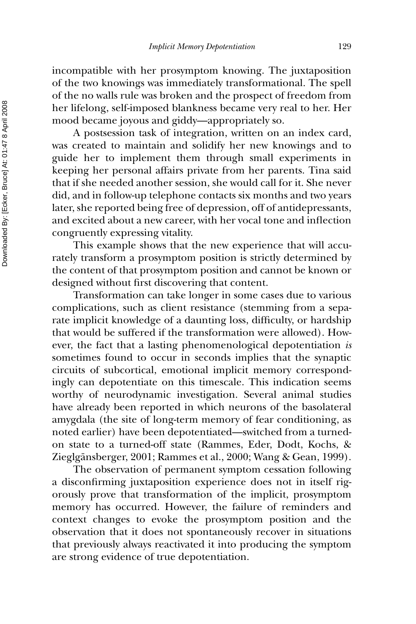incompatible with her prosymptom knowing. The juxtaposition of the two knowings was immediately transformational. The spell of the no walls rule was broken and the prospect of freedom from her lifelong, self-imposed blankness became very real to her. Her mood became joyous and giddy—appropriately so.

A postsession task of integration, written on an index card, was created to maintain and solidify her new knowings and to guide her to implement them through small experiments in keeping her personal affairs private from her parents. Tina said that if she needed another session, she would call for it. She never did, and in follow-up telephone contacts six months and two years later, she reported being free of depression, off of antidepressants, and excited about a new career, with her vocal tone and inflection congruently expressing vitality.

This example shows that the new experience that will accurately transform a prosymptom position is strictly determined by the content of that prosymptom position and cannot be known or designed without first discovering that content.

Transformation can take longer in some cases due to various complications, such as client resistance (stemming from a separate implicit knowledge of a daunting loss, difficulty, or hardship that would be suffered if the transformation were allowed). However, the fact that a lasting phenomenological depotentiation *is* sometimes found to occur in seconds implies that the synaptic circuits of subcortical, emotional implicit memory correspondingly can depotentiate on this timescale. This indication seems worthy of neurodynamic investigation. Several animal studies have already been reported in which neurons of the basolateral amygdala (the site of long-term memory of fear conditioning, as noted earlier) have been depotentiated—switched from a turnedon state to a turned-off state (Rammes, Eder, Dodt, Kochs, & Zieglgänsberger, 2001; Rammes et al., 2000; Wang & Gean, 1999).

The observation of permanent symptom cessation following a disconfirming juxtaposition experience does not in itself rigorously prove that transformation of the implicit, prosymptom memory has occurred. However, the failure of reminders and context changes to evoke the prosymptom position and the observation that it does not spontaneously recover in situations that previously always reactivated it into producing the symptom are strong evidence of true depotentiation.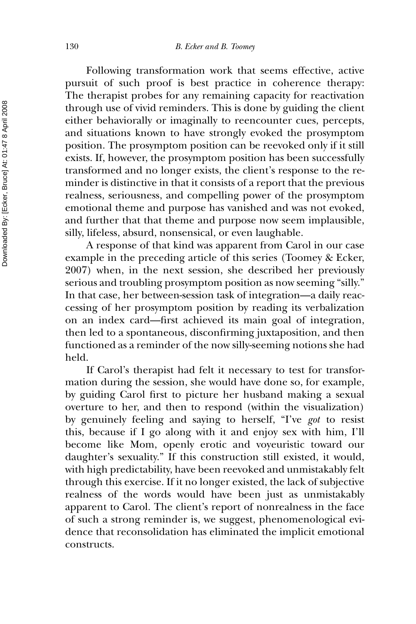Following transformation work that seems effective, active pursuit of such proof is best practice in coherence therapy: The therapist probes for any remaining capacity for reactivation through use of vivid reminders. This is done by guiding the client either behaviorally or imaginally to reencounter cues, percepts, and situations known to have strongly evoked the prosymptom position. The prosymptom position can be reevoked only if it still exists. If, however, the prosymptom position has been successfully transformed and no longer exists, the client's response to the reminder is distinctive in that it consists of a report that the previous realness, seriousness, and compelling power of the prosymptom emotional theme and purpose has vanished and was not evoked, and further that that theme and purpose now seem implausible, silly, lifeless, absurd, nonsensical, or even laughable.

A response of that kind was apparent from Carol in our case example in the preceding article of this series (Toomey & Ecker, 2007) when, in the next session, she described her previously serious and troubling prosymptom position as now seeming "silly." In that case, her between-session task of integration—a daily reaccessing of her prosymptom position by reading its verbalization on an index card—first achieved its main goal of integration, then led to a spontaneous, disconfirming juxtaposition, and then functioned as a reminder of the now silly-seeming notions she had held.

If Carol's therapist had felt it necessary to test for transformation during the session, she would have done so, for example, by guiding Carol first to picture her husband making a sexual overture to her, and then to respond (within the visualization) by genuinely feeling and saying to herself, "I've *got* to resist this, because if I go along with it and enjoy sex with him, I'll become like Mom, openly erotic and voyeuristic toward our daughter's sexuality." If this construction still existed, it would, with high predictability, have been reevoked and unmistakably felt through this exercise. If it no longer existed, the lack of subjective realness of the words would have been just as unmistakably apparent to Carol. The client's report of nonrealness in the face of such a strong reminder is, we suggest, phenomenological evidence that reconsolidation has eliminated the implicit emotional constructs.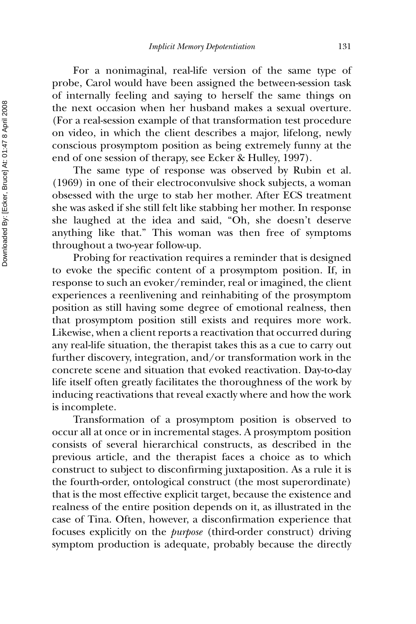For a nonimaginal, real-life version of the same type of probe, Carol would have been assigned the between-session task of internally feeling and saying to herself the same things on the next occasion when her husband makes a sexual overture. (For a real-session example of that transformation test procedure on video, in which the client describes a major, lifelong, newly conscious prosymptom position as being extremely funny at the end of one session of therapy, see Ecker & Hulley, 1997).

The same type of response was observed by Rubin et al. (1969) in one of their electroconvulsive shock subjects, a woman obsessed with the urge to stab her mother. After ECS treatment she was asked if she still felt like stabbing her mother. In response she laughed at the idea and said, "Oh, she doesn't deserve anything like that." This woman was then free of symptoms throughout a two-year follow-up.

Probing for reactivation requires a reminder that is designed to evoke the specific content of a prosymptom position. If, in response to such an evoker/reminder, real or imagined, the client experiences a reenlivening and reinhabiting of the prosymptom position as still having some degree of emotional realness, then that prosymptom position still exists and requires more work. Likewise, when a client reports a reactivation that occurred during any real-life situation, the therapist takes this as a cue to carry out further discovery, integration, and/or transformation work in the concrete scene and situation that evoked reactivation. Day-to-day life itself often greatly facilitates the thoroughness of the work by inducing reactivations that reveal exactly where and how the work is incomplete.

Transformation of a prosymptom position is observed to occur all at once or in incremental stages. A prosymptom position consists of several hierarchical constructs, as described in the previous article, and the therapist faces a choice as to which construct to subject to disconfirming juxtaposition. As a rule it is the fourth-order, ontological construct (the most superordinate) that is the most effective explicit target, because the existence and realness of the entire position depends on it, as illustrated in the case of Tina. Often, however, a disconfirmation experience that focuses explicitly on the *purpose* (third-order construct) driving symptom production is adequate, probably because the directly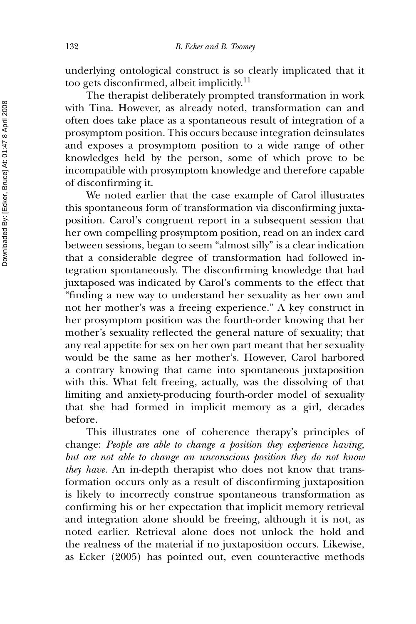underlying ontological construct is so clearly implicated that it too gets disconfirmed, albeit implicitly.<sup>11</sup>

The therapist deliberately prompted transformation in work with Tina. However, as already noted, transformation can and often does take place as a spontaneous result of integration of a prosymptom position. This occurs because integration deinsulates and exposes a prosymptom position to a wide range of other knowledges held by the person, some of which prove to be incompatible with prosymptom knowledge and therefore capable of disconfirming it.

We noted earlier that the case example of Carol illustrates this spontaneous form of transformation via disconfirming juxtaposition. Carol's congruent report in a subsequent session that her own compelling prosymptom position, read on an index card between sessions, began to seem "almost silly" is a clear indication that a considerable degree of transformation had followed integration spontaneously. The disconfirming knowledge that had juxtaposed was indicated by Carol's comments to the effect that "finding a new way to understand her sexuality as her own and not her mother's was a freeing experience." A key construct in her prosymptom position was the fourth-order knowing that her mother's sexuality reflected the general nature of sexuality; that any real appetite for sex on her own part meant that her sexuality would be the same as her mother's. However, Carol harbored a contrary knowing that came into spontaneous juxtaposition with this. What felt freeing, actually, was the dissolving of that limiting and anxiety-producing fourth-order model of sexuality that she had formed in implicit memory as a girl, decades before.

This illustrates one of coherence therapy's principles of change: *People are able to change a position they experience having, but are not able to change an unconscious position they do not know they have.* An in-depth therapist who does not know that transformation occurs only as a result of disconfirming juxtaposition is likely to incorrectly construe spontaneous transformation as confirming his or her expectation that implicit memory retrieval and integration alone should be freeing, although it is not, as noted earlier. Retrieval alone does not unlock the hold and the realness of the material if no juxtaposition occurs. Likewise, as Ecker (2005) has pointed out, even counteractive methods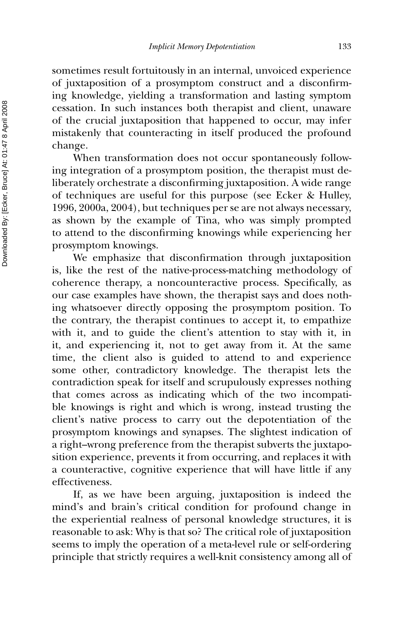sometimes result fortuitously in an internal, unvoiced experience of juxtaposition of a prosymptom construct and a disconfirming knowledge, yielding a transformation and lasting symptom cessation. In such instances both therapist and client, unaware of the crucial juxtaposition that happened to occur, may infer mistakenly that counteracting in itself produced the profound change.

When transformation does not occur spontaneously following integration of a prosymptom position, the therapist must deliberately orchestrate a disconfirming juxtaposition. A wide range of techniques are useful for this purpose (see Ecker & Hulley, 1996, 2000a, 2004), but techniques per se are not always necessary, as shown by the example of Tina, who was simply prompted to attend to the disconfirming knowings while experiencing her prosymptom knowings.

We emphasize that disconfirmation through juxtaposition is, like the rest of the native-process-matching methodology of coherence therapy, a noncounteractive process. Specifically, as our case examples have shown, the therapist says and does nothing whatsoever directly opposing the prosymptom position. To the contrary, the therapist continues to accept it, to empathize with it, and to guide the client's attention to stay with it, in it, and experiencing it, not to get away from it. At the same time, the client also is guided to attend to and experience some other, contradictory knowledge. The therapist lets the contradiction speak for itself and scrupulously expresses nothing that comes across as indicating which of the two incompatible knowings is right and which is wrong, instead trusting the client's native process to carry out the depotentiation of the prosymptom knowings and synapses. The slightest indication of a right–wrong preference from the therapist subverts the juxtaposition experience, prevents it from occurring, and replaces it with a counteractive, cognitive experience that will have little if any effectiveness.

If, as we have been arguing, juxtaposition is indeed the mind's and brain's critical condition for profound change in the experiential realness of personal knowledge structures, it is reasonable to ask: Why is that so? The critical role of juxtaposition seems to imply the operation of a meta-level rule or self-ordering principle that strictly requires a well-knit consistency among all of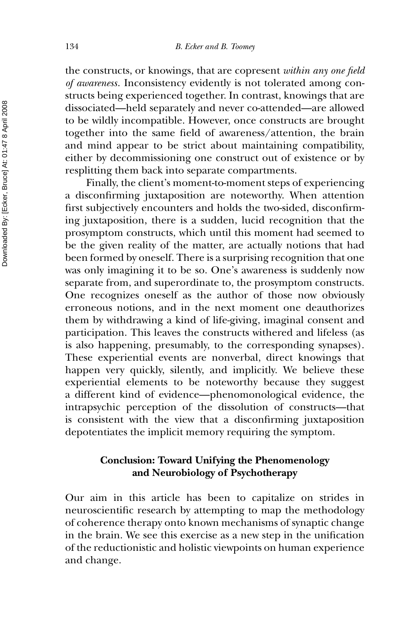the constructs, or knowings, that are copresent *within any one field of awareness*. Inconsistency evidently is not tolerated among constructs being experienced together. In contrast, knowings that are dissociated—held separately and never co-attended—are allowed to be wildly incompatible. However, once constructs are brought together into the same field of awareness/attention, the brain and mind appear to be strict about maintaining compatibility, either by decommissioning one construct out of existence or by resplitting them back into separate compartments.

Finally, the client's moment-to-moment steps of experiencing a disconfirming juxtaposition are noteworthy. When attention first subjectively encounters and holds the two-sided, disconfirming juxtaposition, there is a sudden, lucid recognition that the prosymptom constructs, which until this moment had seemed to be the given reality of the matter, are actually notions that had been formed by oneself. There is a surprising recognition that one was only imagining it to be so. One's awareness is suddenly now separate from, and superordinate to, the prosymptom constructs. One recognizes oneself as the author of those now obviously erroneous notions, and in the next moment one deauthorizes them by withdrawing a kind of life-giving, imaginal consent and participation. This leaves the constructs withered and lifeless (as is also happening, presumably, to the corresponding synapses). These experiential events are nonverbal, direct knowings that happen very quickly, silently, and implicitly. We believe these experiential elements to be noteworthy because they suggest a different kind of evidence—phenomonological evidence, the intrapsychic perception of the dissolution of constructs—that is consistent with the view that a disconfirming juxtaposition depotentiates the implicit memory requiring the symptom.

# **Conclusion: Toward Unifying the Phenomenology and Neurobiology of Psychotherapy**

Our aim in this article has been to capitalize on strides in neuroscientific research by attempting to map the methodology of coherence therapy onto known mechanisms of synaptic change in the brain. We see this exercise as a new step in the unification of the reductionistic and holistic viewpoints on human experience and change.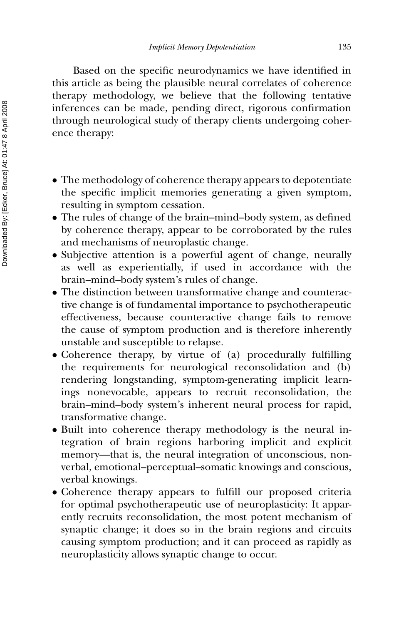Based on the specific neurodynamics we have identified in this article as being the plausible neural correlates of coherence therapy methodology, we believe that the following tentative inferences can be made, pending direct, rigorous confirmation through neurological study of therapy clients undergoing coherence therapy:

- The methodology of coherence therapy appears to depotentiate the specific implicit memories generating a given symptom, resulting in symptom cessation.
- The rules of change of the brain–mind–body system, as defined by coherence therapy, appear to be corroborated by the rules and mechanisms of neuroplastic change.
- Subjective attention is a powerful agent of change, neurally as well as experientially, if used in accordance with the brain–mind–body system's rules of change.
- The distinction between transformative change and counteractive change is of fundamental importance to psychotherapeutic effectiveness, because counteractive change fails to remove the cause of symptom production and is therefore inherently unstable and susceptible to relapse.
- Coherence therapy, by virtue of (a) procedurally fulfilling the requirements for neurological reconsolidation and (b) rendering longstanding, symptom-generating implicit learnings nonevocable, appears to recruit reconsolidation, the brain–mind–body system's inherent neural process for rapid, transformative change.
- Built into coherence therapy methodology is the neural integration of brain regions harboring implicit and explicit memory—that is, the neural integration of unconscious, nonverbal, emotional–perceptual–somatic knowings and conscious, verbal knowings.
- Coherence therapy appears to fulfill our proposed criteria for optimal psychotherapeutic use of neuroplasticity: It apparently recruits reconsolidation, the most potent mechanism of synaptic change; it does so in the brain regions and circuits causing symptom production; and it can proceed as rapidly as neuroplasticity allows synaptic change to occur.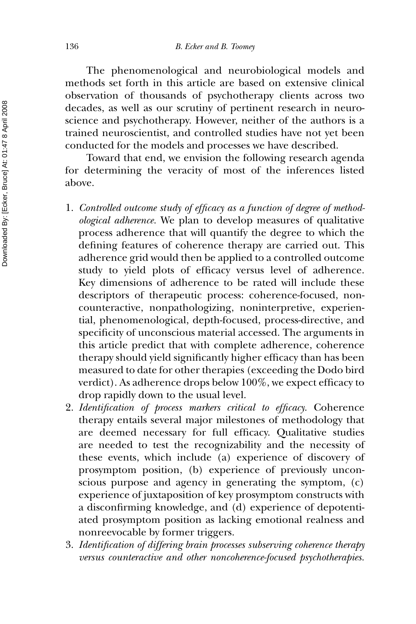The phenomenological and neurobiological models and methods set forth in this article are based on extensive clinical observation of thousands of psychotherapy clients across two decades, as well as our scrutiny of pertinent research in neuroscience and psychotherapy. However, neither of the authors is a trained neuroscientist, and controlled studies have not yet been conducted for the models and processes we have described.

Toward that end, we envision the following research agenda for determining the veracity of most of the inferences listed above.

- 1. *Controlled outcome study of efficacy as a function of degree of methodological adherence.* We plan to develop measures of qualitative process adherence that will quantify the degree to which the defining features of coherence therapy are carried out. This adherence grid would then be applied to a controlled outcome study to yield plots of efficacy versus level of adherence. Key dimensions of adherence to be rated will include these descriptors of therapeutic process: coherence-focused, noncounteractive, nonpathologizing, noninterpretive, experiential, phenomenological, depth-focused, process-directive, and specificity of unconscious material accessed. The arguments in this article predict that with complete adherence, coherence therapy should yield significantly higher efficacy than has been measured to date for other therapies (exceeding the Dodo bird verdict). As adherence drops below 100%, we expect efficacy to drop rapidly down to the usual level.
- 2. *Identification of process markers critical to efficacy.* Coherence therapy entails several major milestones of methodology that are deemed necessary for full efficacy. Qualitative studies are needed to test the recognizability and the necessity of these events, which include (a) experience of discovery of prosymptom position, (b) experience of previously unconscious purpose and agency in generating the symptom, (c) experience of juxtaposition of key prosymptom constructs with a disconfirming knowledge, and (d) experience of depotentiated prosymptom position as lacking emotional realness and nonreevocable by former triggers.
- 3. *Identification of differing brain processes subserving coherence therapy versus counteractive and other noncoherence-focused psychotherapies.*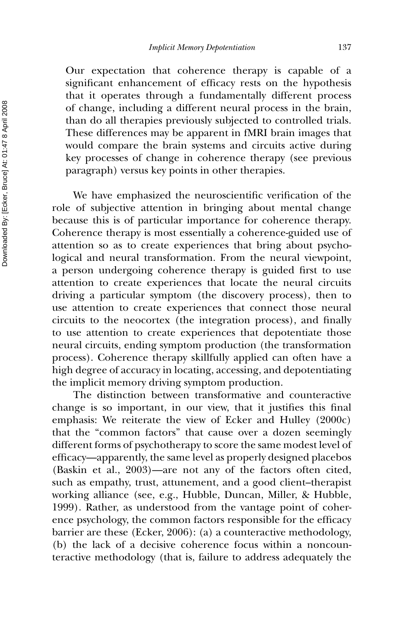Our expectation that coherence therapy is capable of a significant enhancement of efficacy rests on the hypothesis that it operates through a fundamentally different process of change, including a different neural process in the brain, than do all therapies previously subjected to controlled trials. These differences may be apparent in fMRI brain images that would compare the brain systems and circuits active during key processes of change in coherence therapy (see previous paragraph) versus key points in other therapies.

We have emphasized the neuroscientific verification of the role of subjective attention in bringing about mental change because this is of particular importance for coherence therapy. Coherence therapy is most essentially a coherence-guided use of attention so as to create experiences that bring about psychological and neural transformation. From the neural viewpoint, a person undergoing coherence therapy is guided first to use attention to create experiences that locate the neural circuits driving a particular symptom (the discovery process), then to use attention to create experiences that connect those neural circuits to the neocortex (the integration process), and finally to use attention to create experiences that depotentiate those neural circuits, ending symptom production (the transformation process). Coherence therapy skillfully applied can often have a high degree of accuracy in locating, accessing, and depotentiating the implicit memory driving symptom production.

The distinction between transformative and counteractive change is so important, in our view, that it justifies this final emphasis: We reiterate the view of Ecker and Hulley (2000c) that the "common factors" that cause over a dozen seemingly different forms of psychotherapy to score the same modest level of efficacy—apparently, the same level as properly designed placebos (Baskin et al., 2003)—are not any of the factors often cited, such as empathy, trust, attunement, and a good client–therapist working alliance (see, e.g., Hubble, Duncan, Miller, & Hubble, 1999). Rather, as understood from the vantage point of coherence psychology, the common factors responsible for the efficacy barrier are these (Ecker, 2006): (a) a counteractive methodology, (b) the lack of a decisive coherence focus within a noncounteractive methodology (that is, failure to address adequately the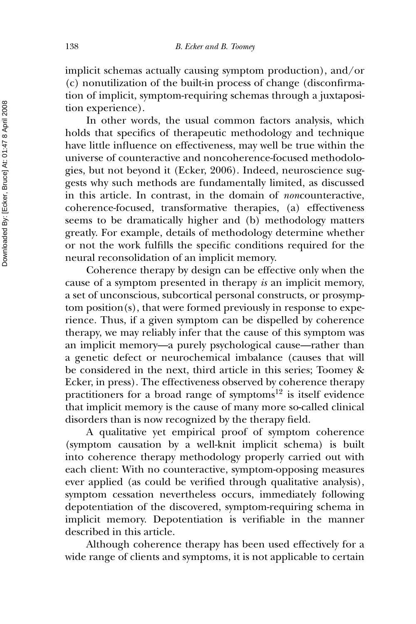implicit schemas actually causing symptom production), and/or (c) nonutilization of the built-in process of change (disconfirmation of implicit, symptom-requiring schemas through a juxtaposition experience).

In other words, the usual common factors analysis, which holds that specifics of therapeutic methodology and technique have little influence on effectiveness, may well be true within the universe of counteractive and noncoherence-focused methodologies, but not beyond it (Ecker, 2006). Indeed, neuroscience suggests why such methods are fundamentally limited, as discussed in this article. In contrast, in the domain of *non*counteractive, coherence-focused, transformative therapies, (a) effectiveness seems to be dramatically higher and (b) methodology matters greatly. For example, details of methodology determine whether or not the work fulfills the specific conditions required for the neural reconsolidation of an implicit memory.

Coherence therapy by design can be effective only when the cause of a symptom presented in therapy *is* an implicit memory, a set of unconscious, subcortical personal constructs, or prosymptom position(s), that were formed previously in response to experience. Thus, if a given symptom can be dispelled by coherence therapy, we may reliably infer that the cause of this symptom was an implicit memory—a purely psychological cause—rather than a genetic defect or neurochemical imbalance (causes that will be considered in the next, third article in this series; Toomey & Ecker, in press). The effectiveness observed by coherence therapy practitioners for a broad range of symptoms $^{12}$  is itself evidence that implicit memory is the cause of many more so-called clinical disorders than is now recognized by the therapy field.

A qualitative yet empirical proof of symptom coherence (symptom causation by a well-knit implicit schema) is built into coherence therapy methodology properly carried out with each client: With no counteractive, symptom-opposing measures ever applied (as could be verified through qualitative analysis), symptom cessation nevertheless occurs, immediately following depotentiation of the discovered, symptom-requiring schema in implicit memory. Depotentiation is verifiable in the manner described in this article.

Although coherence therapy has been used effectively for a wide range of clients and symptoms, it is not applicable to certain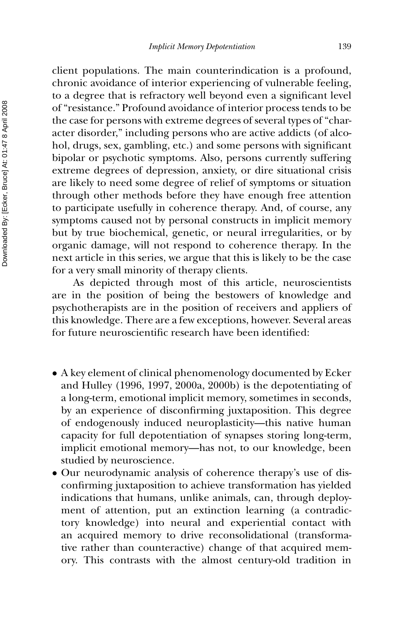client populations. The main counterindication is a profound, chronic avoidance of interior experiencing of vulnerable feeling, to a degree that is refractory well beyond even a significant level of "resistance." Profound avoidance of interior process tends to be the case for persons with extreme degrees of several types of "character disorder," including persons who are active addicts (of alcohol, drugs, sex, gambling, etc.) and some persons with significant bipolar or psychotic symptoms. Also, persons currently suffering extreme degrees of depression, anxiety, or dire situational crisis are likely to need some degree of relief of symptoms or situation through other methods before they have enough free attention to participate usefully in coherence therapy. And, of course, any symptoms caused not by personal constructs in implicit memory but by true biochemical, genetic, or neural irregularities, or by organic damage, will not respond to coherence therapy. In the next article in this series, we argue that this is likely to be the case for a very small minority of therapy clients.

As depicted through most of this article, neuroscientists are in the position of being the bestowers of knowledge and psychotherapists are in the position of receivers and appliers of this knowledge. There are a few exceptions, however. Several areas for future neuroscientific research have been identified:

- A key element of clinical phenomenology documented by Ecker and Hulley (1996, 1997, 2000a, 2000b) is the depotentiating of a long-term, emotional implicit memory, sometimes in seconds, by an experience of disconfirming juxtaposition. This degree of endogenously induced neuroplasticity—this native human capacity for full depotentiation of synapses storing long-term, implicit emotional memory—has not, to our knowledge, been studied by neuroscience.
- Our neurodynamic analysis of coherence therapy's use of disconfirming juxtaposition to achieve transformation has yielded indications that humans, unlike animals, can, through deployment of attention, put an extinction learning (a contradictory knowledge) into neural and experiential contact with an acquired memory to drive reconsolidational (transformative rather than counteractive) change of that acquired memory. This contrasts with the almost century-old tradition in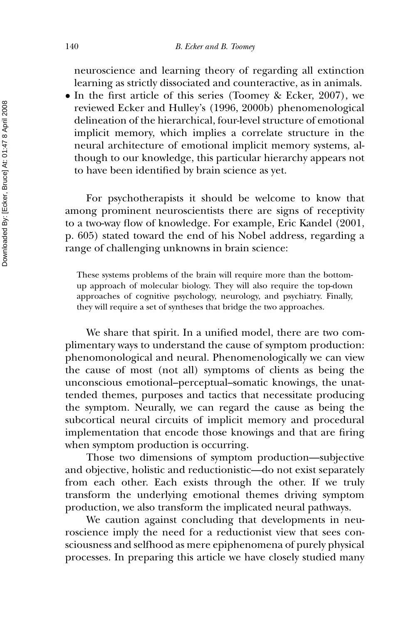neuroscience and learning theory of regarding all extinction learning as strictly dissociated and counteractive, as in animals.

 $\bullet$  In the first article of this series (Toomey & Ecker, 2007), we reviewed Ecker and Hulley's (1996, 2000b) phenomenological delineation of the hierarchical, four-level structure of emotional implicit memory, which implies a correlate structure in the neural architecture of emotional implicit memory systems, although to our knowledge, this particular hierarchy appears not to have been identified by brain science as yet.

For psychotherapists it should be welcome to know that among prominent neuroscientists there are signs of receptivity to a two-way flow of knowledge. For example, Eric Kandel (2001, p. 605) stated toward the end of his Nobel address, regarding a range of challenging unknowns in brain science:

These systems problems of the brain will require more than the bottomup approach of molecular biology. They will also require the top-down approaches of cognitive psychology, neurology, and psychiatry. Finally, they will require a set of syntheses that bridge the two approaches.

We share that spirit. In a unified model, there are two complimentary ways to understand the cause of symptom production: phenomonological and neural. Phenomenologically we can view the cause of most (not all) symptoms of clients as being the unconscious emotional–perceptual–somatic knowings, the unattended themes, purposes and tactics that necessitate producing the symptom. Neurally, we can regard the cause as being the subcortical neural circuits of implicit memory and procedural implementation that encode those knowings and that are firing when symptom production is occurring.

Those two dimensions of symptom production—subjective and objective, holistic and reductionistic—do not exist separately from each other. Each exists through the other. If we truly transform the underlying emotional themes driving symptom production, we also transform the implicated neural pathways.

We caution against concluding that developments in neuroscience imply the need for a reductionist view that sees consciousness and selfhood as mere epiphenomena of purely physical processes. In preparing this article we have closely studied many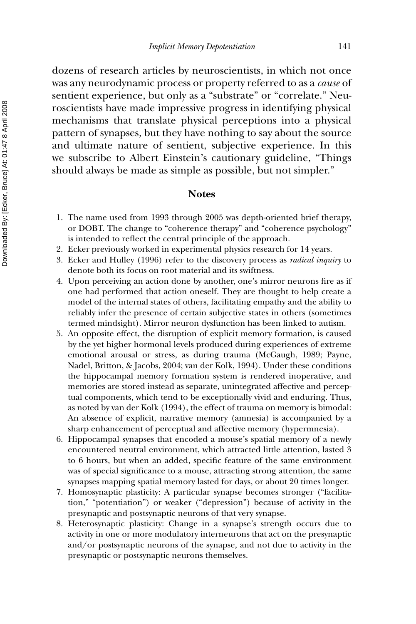dozens of research articles by neuroscientists, in which not once was any neurodynamic process or property referred to as a *cause* of sentient experience, but only as a "substrate" or "correlate." Neuroscientists have made impressive progress in identifying physical mechanisms that translate physical perceptions into a physical pattern of synapses, but they have nothing to say about the source and ultimate nature of sentient, subjective experience. In this we subscribe to Albert Einstein's cautionary guideline, "Things should always be made as simple as possible, but not simpler."

#### **Notes**

- 1. The name used from 1993 through 2005 was depth-oriented brief therapy, or DOBT. The change to "coherence therapy" and "coherence psychology" is intended to reflect the central principle of the approach.
- 2. Ecker previously worked in experimental physics research for 14 years.
- 3. Ecker and Hulley (1996) refer to the discovery process as *radical inquiry* to denote both its focus on root material and its swiftness.
- 4. Upon perceiving an action done by another, one's mirror neurons fire as if one had performed that action oneself. They are thought to help create a model of the internal states of others, facilitating empathy and the ability to reliably infer the presence of certain subjective states in others (sometimes termed mindsight). Mirror neuron dysfunction has been linked to autism.
- 5. An opposite effect, the disruption of explicit memory formation, is caused by the yet higher hormonal levels produced during experiences of extreme emotional arousal or stress, as during trauma (McGaugh, 1989; Payne, Nadel, Britton, & Jacobs, 2004; van der Kolk, 1994). Under these conditions the hippocampal memory formation system is rendered inoperative, and memories are stored instead as separate, unintegrated affective and perceptual components, which tend to be exceptionally vivid and enduring. Thus, as noted by van der Kolk (1994), the effect of trauma on memory is bimodal: An absence of explicit, narrative memory (amnesia) is accompanied by a sharp enhancement of perceptual and affective memory (hypermnesia).
- 6. Hippocampal synapses that encoded a mouse's spatial memory of a newly encountered neutral environment, which attracted little attention, lasted 3 to 6 hours, but when an added, specific feature of the same environment was of special significance to a mouse, attracting strong attention, the same synapses mapping spatial memory lasted for days, or about 20 times longer.
- 7. Homosynaptic plasticity: A particular synapse becomes stronger ("facilitation," "potentiation") or weaker ("depression") because of activity in the presynaptic and postsynaptic neurons of that very synapse.
- 8. Heterosynaptic plasticity: Change in a synapse's strength occurs due to activity in one or more modulatory interneurons that act on the presynaptic and/or postsynaptic neurons of the synapse, and not due to activity in the presynaptic or postsynaptic neurons themselves.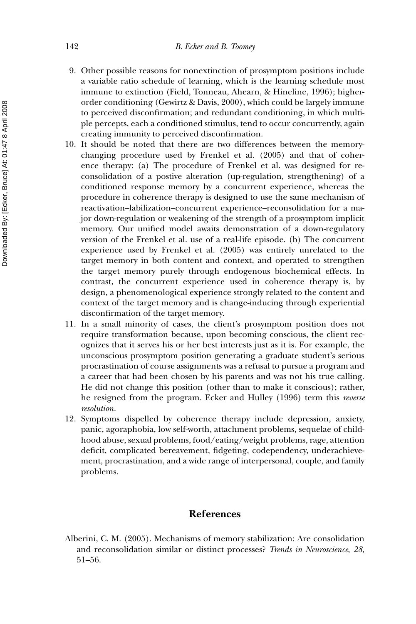- 9. Other possible reasons for nonextinction of prosymptom positions include a variable ratio schedule of learning, which is the learning schedule most immune to extinction (Field, Tonneau, Ahearn, & Hineline, 1996); higherorder conditioning (Gewirtz & Davis, 2000), which could be largely immune to perceived disconfirmation; and redundant conditioning, in which multiple percepts, each a conditioned stimulus, tend to occur concurrently, again creating immunity to perceived disconfirmation.
- 10. It should be noted that there are two differences between the memorychanging procedure used by Frenkel et al. (2005) and that of coherence therapy: (a) The procedure of Frenkel et al. was designed for reconsolidation of a postive alteration (up-regulation, strengthening) of a conditioned response memory by a concurrent experience, whereas the procedure in coherence therapy is designed to use the same mechanism of reactivation–labilization–concurrent experience–reconsolidation for a major down-regulation or weakening of the strength of a prosymptom implicit memory. Our unified model awaits demonstration of a down-regulatory version of the Frenkel et al. use of a real-life episode. (b) The concurrent experience used by Frenkel et al. (2005) was entirely unrelated to the target memory in both content and context, and operated to strengthen the target memory purely through endogenous biochemical effects. In contrast, the concurrent experience used in coherence therapy is, by design, a phenomenological experience strongly related to the content and context of the target memory and is change-inducing through experiential disconfirmation of the target memory.
- 11. In a small minority of cases, the client's prosymptom position does not require transformation because, upon becoming conscious, the client recognizes that it serves his or her best interests just as it is. For example, the unconscious prosymptom position generating a graduate student's serious procrastination of course assignments was a refusal to pursue a program and a career that had been chosen by his parents and was not his true calling. He did not change this position (other than to make it conscious); rather, he resigned from the program. Ecker and Hulley (1996) term this *reverse resolution*.
- 12. Symptoms dispelled by coherence therapy include depression, anxiety, panic, agoraphobia, low self-worth, attachment problems, sequelae of childhood abuse, sexual problems, food/eating/weight problems, rage, attention deficit, complicated bereavement, fidgeting, codependency, underachievement, procrastination, and a wide range of interpersonal, couple, and family problems.

#### **References**

Alberini, C. M. (2005). Mechanisms of memory stabilization: Are consolidation and reconsolidation similar or distinct processes? *Trends in Neuroscience*, *28*, 51–56.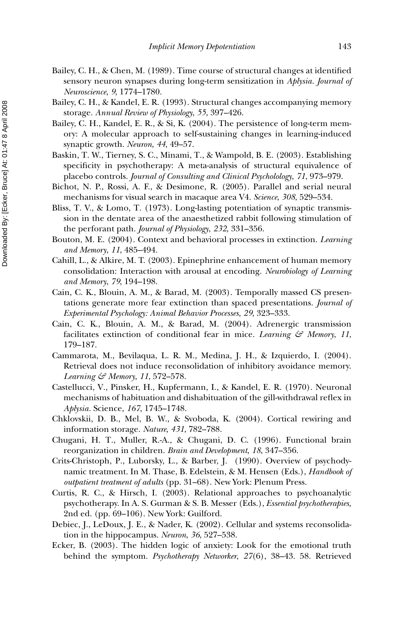- Bailey, C. H., & Chen, M. (1989). Time course of structural changes at identified sensory neuron synapses during long-term sensitization in *Aplysia*. *Journal of Neuroscience*, *9*, 1774–1780.
- Bailey, C. H., & Kandel, E. R. (1993). Structural changes accompanying memory storage. *Annual Review of Physiology*, *55*, 397–426.
- Bailey, C. H., Kandel, E. R., & Si, K. (2004). The persistence of long-term memory: A molecular approach to self-sustaining changes in learning-induced synaptic growth. *Neuron*, *44*, 49–57.
- Baskin, T. W., Tierney, S. C., Minami, T., & Wampold, B. E. (2003). Establishing specificity in psychotherapy: A meta-analysis of structural equivalence of placebo controls. *Journal of Consulting and Clinical Psycholology*, *71*, 973–979.
- Bichot, N. P., Rossi, A. F., & Desimone, R. (2005). Parallel and serial neural mechanisms for visual search in macaque area V4. *Science*, *308*, 529–534.
- Bliss, T. V., & Lomo, T. (1973). Long-lasting potentiation of synaptic transmission in the dentate area of the anaesthetized rabbit following stimulation of the perforant path. *Journal of Physiology*, *232*, 331–356.
- Bouton, M. E. (2004). Context and behavioral processes in extinction. *Learning and Memory*, *11*, 485–494.
- Cahill, L., & Alkire, M. T. (2003). Epinephrine enhancement of human memory consolidation: Interaction with arousal at encoding. *Neurobiology of Learning and Memory*, *79*, 194–198.
- Cain, C. K., Blouin, A. M., & Barad, M. (2003). Temporally massed CS presentations generate more fear extinction than spaced presentations. *Journal of Experimental Psychology: Animal Behavior Processes*, *29*, 323–333.
- Cain, C. K., Blouin, A. M., & Barad, M. (2004). Adrenergic transmission facilitates extinction of conditional fear in mice. *Learning & Memory*, *11*, 179–187.
- Cammarota, M., Bevilaqua, L. R. M., Medina, J. H., & Izquierdo, I. (2004). Retrieval does not induce reconsolidation of inhibitory avoidance memory. *Learning & Memory*, *11*, 572–578.
- Castellucci, V., Pinsker, H., Kupfermann, I., & Kandel, E. R. (1970). Neuronal mechanisms of habituation and dishabituation of the gill-withdrawal reflex in *Aplysia*. Science, *167*, 1745–1748.
- Chklovskii, D. B., Mel, B. W., & Svoboda, K. (2004). Cortical rewiring and information storage. *Nature*, *431*, 782–788.
- Chugani, H. T., Muller, R.-A., & Chugani, D. C. (1996). Functional brain reorganization in children. *Brain and Development*, *18*, 347–356.
- Crits-Christoph, P., Luborsky, L., & Barber, J. (1990). Overview of psychodynamic treatment. In M. Thase, B. Edelstein, & M. Hensen (Eds.), *Handbook of outpatient treatment of adults* (pp. 31–68). New York: Plenum Press.
- Curtis, R. C., & Hirsch, I. (2003). Relational approaches to psychoanalytic psychotherapy. In A. S. Gurman & S. B. Messer (Eds.), *Essential psychotherapies,* 2nd ed. (pp. 69–106). New York: Guilford.
- Debiec, J., LeDoux, J. E., & Nader, K. (2002). Cellular and systems reconsolidation in the hippocampus. *Neuron*, *36*, 527–538.
- Ecker, B. (2003). The hidden logic of anxiety: Look for the emotional truth behind the symptom. *Psychotherapy Networker*, *27*(6), 38–43. 58. Retrieved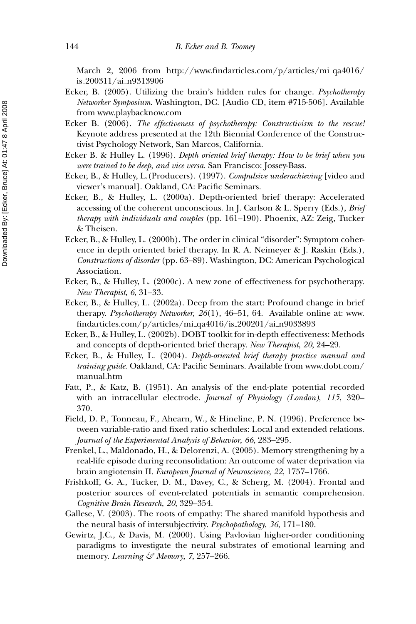March 2, 2006 from http://www.findarticles.com/p/articles/mi qa4016/ is 200311/ai n9313906

- Ecker, B. (2005). Utilizing the brain's hidden rules for change. *Psychotherapy Networker Symposium*. Washington, DC. [Audio CD, item #715-506]. Available from www.playbacknow.com
- Ecker B. (2006). *The effectiveness of psychotherapy: Constructivism to the rescue!* Keynote address presented at the 12th Biennial Conference of the Constructivist Psychology Network, San Marcos, California.
- Ecker B. & Hulley L. (1996). *Depth oriented brief therapy: How to be brief when you were trained to be deep, and vice versa.* San Francisco: Jossey-Bass.
- Ecker, B., & Hulley, L.(Producers). (1997). *Compulsive underachieving* [video and viewer's manual]. Oakland, CA: Pacific Seminars.
- Ecker, B., & Hulley, L. (2000a). Depth-oriented brief therapy: Accelerated accessing of the coherent unconscious. In J. Carlson & L. Sperry (Eds.), *Brief therapy with individuals and couples* (pp. 161–190). Phoenix, AZ: Zeig, Tucker & Theisen.
- Ecker, B., & Hulley, L. (2000b). The order in clinical "disorder": Symptom coherence in depth oriented brief therapy. In R. A. Neimeyer & J. Raskin (Eds.), *Constructions of disorder* (pp. 63–89). Washington, DC: American Psychological Association.
- Ecker, B., & Hulley, L. (2000c). A new zone of effectiveness for psychotherapy. *New Therapist*, *6*, 31–33.
- Ecker, B., & Hulley, L. (2002a). Deep from the start: Profound change in brief therapy. *Psychotherapy Networker*, *26*(1), 46–51, 64. Available online at: www. findarticles.com/p/articles/mi qa4016/is 200201/ai n9033893
- Ecker, B., & Hulley, L. (2002b). DOBT toolkit for in-depth effectiveness: Methods and concepts of depth-oriented brief therapy. *New Therapist*, *20*, 24–29.
- Ecker, B., & Hulley, L. (2004). *Depth-oriented brief therapy practice manual and training guide*. Oakland, CA: Pacific Seminars. Available from www.dobt.com/ manual.htm
- Fatt, P., & Katz, B. (1951). An analysis of the end-plate potential recorded with an intracellular electrode. *Journal of Physiology (London)*, *115*, 320– 370.
- Field, D. P., Tonneau, F., Ahearn, W., & Hineline, P. N. (1996). Preference between variable-ratio and fixed ratio schedules: Local and extended relations. *Journal of the Experimental Analysis of Behavior*, *66*, 283–295.
- Frenkel, L., Maldonado, H., & Delorenzi, A. (2005). Memory strengthening by a real-life episode during reconsolidation: An outcome of water deprivation via brain angiotensin II. *European Journal of Neuroscience*, *22*, 1757–1766.
- Frishkoff, G. A., Tucker, D. M., Davey, C., & Scherg, M. (2004). Frontal and posterior sources of event-related potentials in semantic comprehension. *Cognitive Brain Research*, *20*, 329–354.
- Gallese, V. (2003). The roots of empathy: The shared manifold hypothesis and the neural basis of intersubjectivity. *Psychopathology*, *36*, 171–180.
- Gewirtz, J.C., & Davis, M. (2000). Using Pavlovian higher-order conditioning paradigms to investigate the neural substrates of emotional learning and memory. *Learning & Memory*, *7*, 257–266.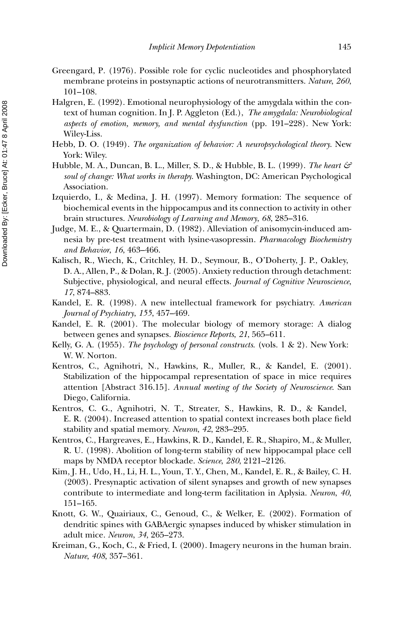- Greengard, P. (1976). Possible role for cyclic nucleotides and phosphorylated membrane proteins in postsynaptic actions of neurotransmitters. *Nature*, *260*, 101–108.
- Halgren, E. (1992). Emotional neurophysiology of the amygdala within the context of human cognition. In J. P. Aggleton (Ed.), *The amygdala: Neurobiological aspects of emotion, memory, and mental dysfunction* (pp. 191–228). New York: Wiley-Liss.
- Hebb, D. O. (1949). *The organization of behavior: A neuropsychological theory*. New York: Wiley.
- Hubble, M. A., Duncan, B. L., Miller, S. D., & Hubble, B. L. (1999). *The heart & soul of change: What works in therapy*. Washington, DC: American Psychological Association.
- Izquierdo, I., & Medina, J. H. (1997). Memory formation: The sequence of biochemical events in the hippocampus and its connection to activity in other brain structures. *Neurobiology of Learning and Memory*, *68*, 285–316.
- Judge, M. E., & Quartermain, D. (1982). Alleviation of anisomycin-induced amnesia by pre-test treatment with lysine-vasopressin. *Pharmacology Biochemistry and Behavior*, *16*, 463–466.
- Kalisch, R., Wiech, K., Critchley, H. D., Seymour, B., O'Doherty, J. P., Oakley, D. A., Allen, P., & Dolan, R. J. (2005). Anxiety reduction through detachment: Subjective, physiological, and neural effects. *Journal of Cognitive Neuroscience*, *17*, 874–883.
- Kandel, E. R. (1998). A new intellectual framework for psychiatry. *American Journal of Psychiatry*, *155*, 457–469.
- Kandel, E. R. (2001). The molecular biology of memory storage: A dialog between genes and synapses. *Bioscience Reports*, *21*, 565–611.
- Kelly, G. A. (1955). *The psychology of personal constructs*. (vols. 1 & 2). New York: W. W. Norton.
- Kentros, C., Agnihotri, N., Hawkins, R., Muller, R., & Kandel, E. (2001). Stabilization of the hippocampal representation of space in mice requires attention [Abstract 316.15]. *Annual meeting of the Society of Neuroscience*. San Diego, California.
- Kentros, C. G., Agnihotri, N. T., Streater, S., Hawkins, R. D., & Kandel, E. R. (2004). Increased attention to spatial context increases both place field stability and spatial memory. *Neuron*, *42*, 283–295.
- Kentros, C., Hargreaves, E., Hawkins, R. D., Kandel, E. R., Shapiro, M., & Muller, R. U. (1998). Abolition of long-term stability of new hippocampal place cell maps by NMDA receptor blockade. *Science*, *280*, 2121–2126.
- Kim, J. H., Udo, H., Li, H. L., Youn, T. Y., Chen, M., Kandel, E. R., & Bailey, C. H. (2003). Presynaptic activation of silent synapses and growth of new synapses contribute to intermediate and long-term facilitation in Aplysia. *Neuron*, *40*, 151–165.
- Knott, G. W., Quairiaux, C., Genoud, C., & Welker, E. (2002). Formation of dendritic spines with GABAergic synapses induced by whisker stimulation in adult mice. *Neuron*, *34*, 265–273.
- Kreiman, G., Koch, C., & Fried, I. (2000). Imagery neurons in the human brain. *Nature*, *408*, 357–361.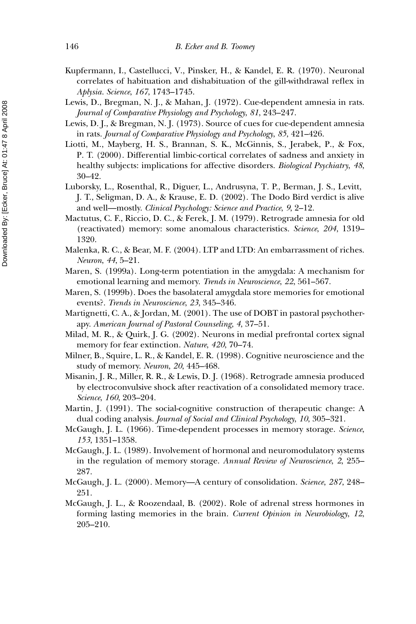- Kupfermann, I., Castellucci, V., Pinsker, H., & Kandel, E. R. (1970). Neuronal correlates of habituation and dishabituation of the gill-withdrawal reflex in *Aplysia*. *Science*, *167*, 1743–1745.
- Lewis, D., Bregman, N. J., & Mahan, J. (1972). Cue-dependent amnesia in rats. *Journal of Comparative Physiology and Psychology*, *81*, 243–247.
- Lewis, D. J., & Bregman, N. J. (1973). Source of cues for cue-dependent amnesia in rats. *Journal of Comparative Physiology and Psychology*, *85*, 421–426.
- Liotti, M., Mayberg, H. S., Brannan, S. K., McGinnis, S., Jerabek, P., & Fox, P. T. (2000). Differential limbic-cortical correlates of sadness and anxiety in healthy subjects: implications for affective disorders. *Biological Psychiatry*, *48*, 30–42.
- Luborsky, L., Rosenthal, R., Diguer, L., Andrusyna, T. P., Berman, J. S., Levitt, J. T., Seligman, D. A., & Krause, E. D. (2002). The Dodo Bird verdict is alive and well—mostly. *Clinical Psychology: Science and Practice*, *9*, 2–12.
- Mactutus, C. F., Riccio, D. C., & Ferek, J. M. (1979). Retrograde amnesia for old (reactivated) memory: some anomalous characteristics. *Science*, *204*, 1319– 1320.
- Malenka, R. C., & Bear, M. F. (2004). LTP and LTD: An embarrassment of riches. *Neuron*, *44*, 5–21.
- Maren, S. (1999a). Long-term potentiation in the amygdala: A mechanism for emotional learning and memory. *Trends in Neuroscience*, *22*, 561–567.
- Maren, S. (1999b). Does the basolateral amygdala store memories for emotional events?. *Trends in Neuroscience*, *23*, 345–346.
- Martignetti, C. A., & Jordan, M. (2001). The use of DOBT in pastoral psychotherapy. *American Journal of Pastoral Counseling*, *4*, 37–51.
- Milad, M. R., & Quirk, J. G. (2002). Neurons in medial prefrontal cortex signal memory for fear extinction. *Nature*, *420*, 70–74.
- Milner, B., Squire, L. R., & Kandel, E. R. (1998). Cognitive neuroscience and the study of memory. *Neuron*, *20*, 445–468.
- Misanin, J. R., Miller, R. R., & Lewis, D. J. (1968). Retrograde amnesia produced by electroconvulsive shock after reactivation of a consolidated memory trace. *Science*, *160*, 203–204.
- Martin, J. (1991). The social-cognitive construction of therapeutic change: A dual coding analysis. *Journal of Social and Clinical Psychology*, *10*, 305–321.
- McGaugh, J. L. (1966). Time-dependent processes in memory storage. *Science*, *153*, 1351–1358.
- McGaugh, J. L. (1989). Involvement of hormonal and neuromodulatory systems in the regulation of memory storage. *Annual Review of Neuroscience*, *2*, 255– 287.
- McGaugh, J. L. (2000). Memory—A century of consolidation. *Science*, *287*, 248– 251.
- McGaugh, J. L., & Roozendaal, B. (2002). Role of adrenal stress hormones in forming lasting memories in the brain. *Current Opinion in Neurobiology*, *12*, 205–210.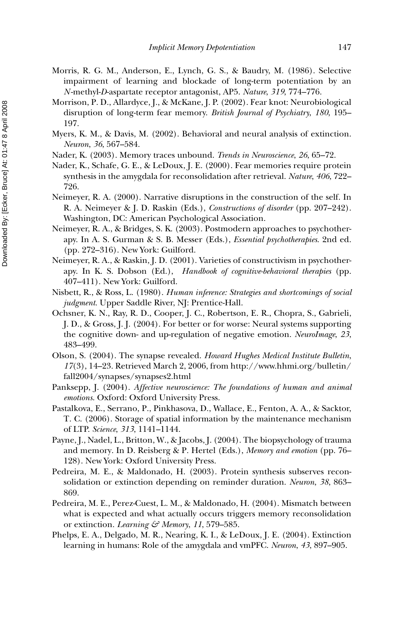- Morris, R. G. M., Anderson, E., Lynch, G. S., & Baudry, M. (1986). Selective impairment of learning and blockade of long-term potentiation by an *N* -methyl-*D*-aspartate receptor antagonist, AP5. *Nature*, *319*, 774–776.
- Morrison, P. D., Allardyce, J., & McKane, J. P. (2002). Fear knot: Neurobiological disruption of long-term fear memory. *British Journal of Psychiatry*, *180*, 195– 197.
- Myers, K. M., & Davis, M. (2002). Behavioral and neural analysis of extinction. *Neuron*, *36*, 567–584.
- Nader, K. (2003). Memory traces unbound. *Trends in Neuroscience*, *26*, 65–72.
- Nader, K., Schafe, G. E., & LeDoux, J. E. (2000). Fear memories require protein synthesis in the amygdala for reconsolidation after retrieval. *Nature*, *406*, 722– 726.
- Neimeyer, R. A. (2000). Narrative disruptions in the construction of the self. In R. A. Neimeyer & J. D. Raskin (Eds.), *Constructions of disorder* (pp. 207–242). Washington, DC: American Psychological Association.
- Neimeyer, R. A., & Bridges, S. K. (2003). Postmodern approaches to psychotherapy. In A. S. Gurman & S. B. Messer (Eds.), *Essential psychotherapies*. 2nd ed. (pp. 272–316). New York: Guilford.
- Neimeyer, R. A., & Raskin, J. D. (2001). Varieties of constructivism in psychotherapy. In K. S. Dobson (Ed.), *Handbook of cognitive-behavioral therapies* (pp. 407–411). New York: Guilford.
- Nisbett, R., & Ross, L. (1980). *Human inference: Strategies and shortcomings of social judgment*. Upper Saddle River, NJ: Prentice-Hall.
- Ochsner, K. N., Ray, R. D., Cooper, J. C., Robertson, E. R., Chopra, S., Gabrieli, J. D., & Gross, J. J. (2004). For better or for worse: Neural systems supporting the cognitive down- and up-regulation of negative emotion. *NeuroImage*, *23*, 483–499.
- Olson, S. (2004). The synapse revealed. *Howard Hughes Medical Institute Bulletin*, *17*(3), 14–23. Retrieved March 2, 2006, from http://www.hhmi.org/bulletin/ fall2004/synapses/synapses2.html
- Panksepp, J. (2004). *Affective neuroscience: The foundations of human and animal emotions*. Oxford: Oxford University Press.
- Pastalkova, E., Serrano, P., Pinkhasova, D., Wallace, E., Fenton, A. A., & Sacktor, T. C. (2006). Storage of spatial information by the maintenance mechanism of LTP. *Science*, *313*, 1141–1144.
- Payne, J., Nadel, L., Britton, W., & Jacobs, J. (2004). The biopsychology of trauma and memory. In D. Reisberg & P. Hertel (Eds.), *Memory and emotion* (pp. 76– 128). New York: Oxford University Press.
- Pedreira, M. E., & Maldonado, H. (2003). Protein synthesis subserves reconsolidation or extinction depending on reminder duration. *Neuron*, *38*, 863– 869.
- Pedreira, M. E., Perez-Cuest, L. M., & Maldonado, H. (2004). Mismatch between what is expected and what actually occurs triggers memory reconsolidation or extinction. *Learning & Memory*, *11*, 579–585.
- Phelps, E. A., Delgado, M. R., Nearing, K. I., & LeDoux, J. E. (2004). Extinction learning in humans: Role of the amygdala and vmPFC. *Neuron*, *43*, 897–905.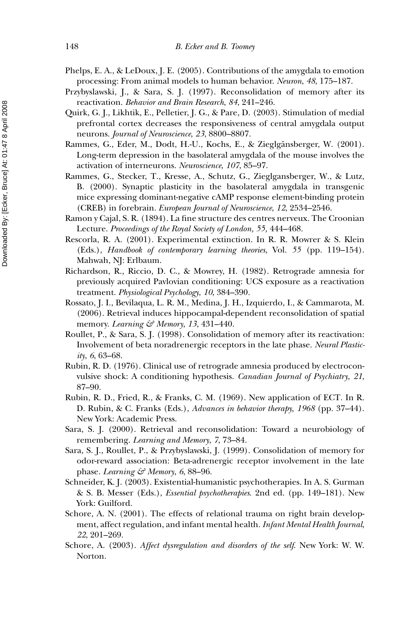- Phelps, E. A., & LeDoux, J. E. (2005). Contributions of the amygdala to emotion processing: From animal models to human behavior. *Neuron*, *48*, 175–187.
- Przybyslawski, J., & Sara, S. J. (1997). Reconsolidation of memory after its reactivation. *Behavior and Brain Research*, *84*, 241–246.
- Quirk, G. J., Likhtik, E., Pelletier, J. G., & Pare, D. (2003). Stimulation of medial prefrontal cortex decreases the responsiveness of central amygdala output neurons. *Journal of Neuroscience*, *23*, 8800–8807.
- Rammes, G., Eder, M., Dodt, H.-U., Kochs, E., & Zieglgänsberger, W. (2001). Long-term depression in the basolateral amygdala of the mouse involves the activation of interneurons. *Neuroscience*, *107*, 85–97.
- Rammes, G., Stecker, T., Kresse, A., Schutz, G., Zieglgansberger, W., & Lutz, B. (2000). Synaptic plasticity in the basolateral amygdala in transgenic mice expressing dominant-negative cAMP response element-binding protein (CREB) in forebrain. *European Journal of Neuroscience*, *12*, 2534–2546.
- Ramon y Cajal, S. R. (1894). La fine structure des centres nerveux. The Croonian Lecture. *Proceedings of the Royal Society of London, 55,* 444–468.
- Rescorla, R. A. (2001). Experimental extinction. In R. R. Mowrer & S. Klein (Eds.), *Handbook of contemporary learning theories*, Vol. *55* (pp. 119–154). Mahwah, NJ: Erlbaum.
- Richardson, R., Riccio, D. C., & Mowrey, H. (1982). Retrograde amnesia for previously acquired Pavlovian conditioning: UCS exposure as a reactivation treatment. *Physiological Psychology*, *10*, 384–390.
- Rossato, J. I., Bevilaqua, L. R. M., Medina, J. H., Izquierdo, I., & Cammarota, M. (2006). Retrieval induces hippocampal-dependent reconsolidation of spatial memory. *Learning & Memory*, *13*, 431–440.
- Roullet, P., & Sara, S. J. (1998). Consolidation of memory after its reactivation: Involvement of beta noradrenergic receptors in the late phase. *Neural Plasticity*, *6*, 63–68.
- Rubin, R. D. (1976). Clinical use of retrograde amnesia produced by electroconvulsive shock: A conditioning hypothesis. *Canadian Journal of Psychiatry*, *21*, 87–90.
- Rubin, R. D., Fried, R., & Franks, C. M. (1969). New application of ECT. In R. D. Rubin, & C. Franks (Eds.), *Advances in behavior therapy, 1968* (pp. 37–44). New York: Academic Press.
- Sara, S. J. (2000). Retrieval and reconsolidation: Toward a neurobiology of remembering. *Learning and Memory*, *7*, 73–84.
- Sara, S. J., Roullet, P., & Przybyslawski, J. (1999). Consolidation of memory for odor-reward association: Beta-adrenergic receptor involvement in the late phase. *Learning & Memory*, *6*, 88–96.
- Schneider, K. J. (2003). Existential-humanistic psychotherapies. In A. S. Gurman & S. B. Messer (Eds.), *Essential psychotherapies*. 2nd ed. (pp. 149–181). New York: Guilford.
- Schore, A. N. (2001). The effects of relational trauma on right brain development, affect regulation, and infant mental health. *Infant Mental Health Journal*, *22*, 201–269.
- Schore, A. (2003). *Affect dysregulation and disorders of the self*. New York: W. W. Norton.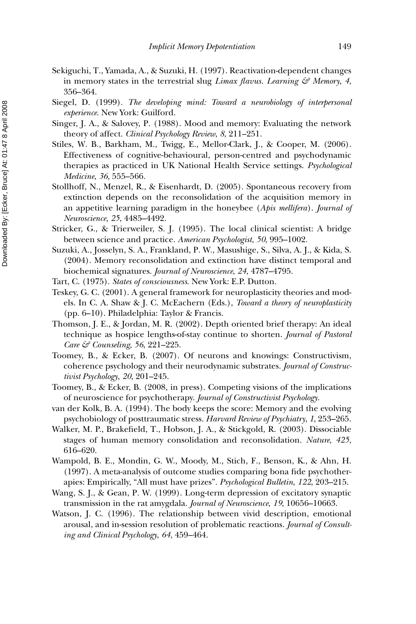- Sekiguchi, T., Yamada, A., & Suzuki, H. (1997). Reactivation-dependent changes in memory states in the terrestrial slug *Limax flavus*. *Learning & Memory*, *4*, 356–364.
- Siegel, D. (1999). *The developing mind: Toward a neurobiology of interpersonal experience*. New York: Guilford.
- Singer, J. A., & Salovey, P. (1988). Mood and memory: Evaluating the network theory of affect. *Clinical Psychology Review*, *8*, 211–251.
- Stiles, W. B., Barkham, M., Twigg, E., Mellor-Clark, J., & Cooper, M. (2006). Effectiveness of cognitive-behavioural, person-centred and psychodynamic therapies as practiced in UK National Health Service settings. *Psychological Medicine*, *36*, 555–566.
- Stollhoff, N., Menzel, R., & Eisenhardt, D. (2005). Spontaneous recovery from extinction depends on the reconsolidation of the acquisition memory in an appetitive learning paradigm in the honeybee (*Apis mellifera*). *Journal of Neuroscience*, *25*, 4485–4492.
- Stricker, G., & Trierweiler, S. J. (1995). The local clinical scientist: A bridge between science and practice. *American Psychologist*, *50*, 995–1002.
- Suzuki, A., Josselyn, S. A., Frankland, P. W., Masushige, S., Silva, A. J., & Kida, S. (2004). Memory reconsolidation and extinction have distinct temporal and biochemical signatures. *Journal of Neuroscience*, *24*, 4787–4795.
- Tart, C. (1975). *States of consciousness*. New York: E.P. Dutton.
- Teskey, G. C. (2001). A general framework for neuroplasticity theories and models. In C. A. Shaw & J. C. McEachern (Eds.), *Toward a theory of neuroplasticity* (pp. 6–10). Philadelphia: Taylor & Francis.
- Thomson, J. E., & Jordan, M. R. (2002). Depth oriented brief therapy: An ideal technique as hospice lengths-of-stay continue to shorten. *Journal of Pastoral Care & Counseling*, *56*, 221–225.
- Toomey, B., & Ecker, B. (2007). Of neurons and knowings: Constructivism, coherence psychology and their neurodynamic substrates. *Journal of Constructivist Psychology*, *20*, 201–245.
- Toomey, B., & Ecker, B. (2008, in press). Competing visions of the implications of neuroscience for psychotherapy. *Journal of Constructivist Psychology*.
- van der Kolk, B. A. (1994). The body keeps the score: Memory and the evolving psychobiology of posttraumatic stress. *Harvard Review of Psychiatry*, *1*, 253–265.
- Walker, M. P., Brakefield, T., Hobson, J. A., & Stickgold, R. (2003). Dissociable stages of human memory consolidation and reconsolidation. *Nature*, *425*, 616–620.
- Wampold, B. E., Mondin, G. W., Moody, M., Stich, F., Benson, K., & Ahn, H. (1997). A meta-analysis of outcome studies comparing bona fide psychotherapies: Empirically, "All must have prizes". *Psychological Bulletin*, *122*, 203–215.
- Wang, S. J., & Gean, P. W. (1999). Long-term depression of excitatory synaptic transmission in the rat amygdala. *Journal of Neuroscience*, *19*, 10656–10663.
- Watson, J. C. (1996). The relationship between vivid description, emotional arousal, and in-session resolution of problematic reactions. *Journal of Consulting and Clinical Psychology*, *64*, 459–464.